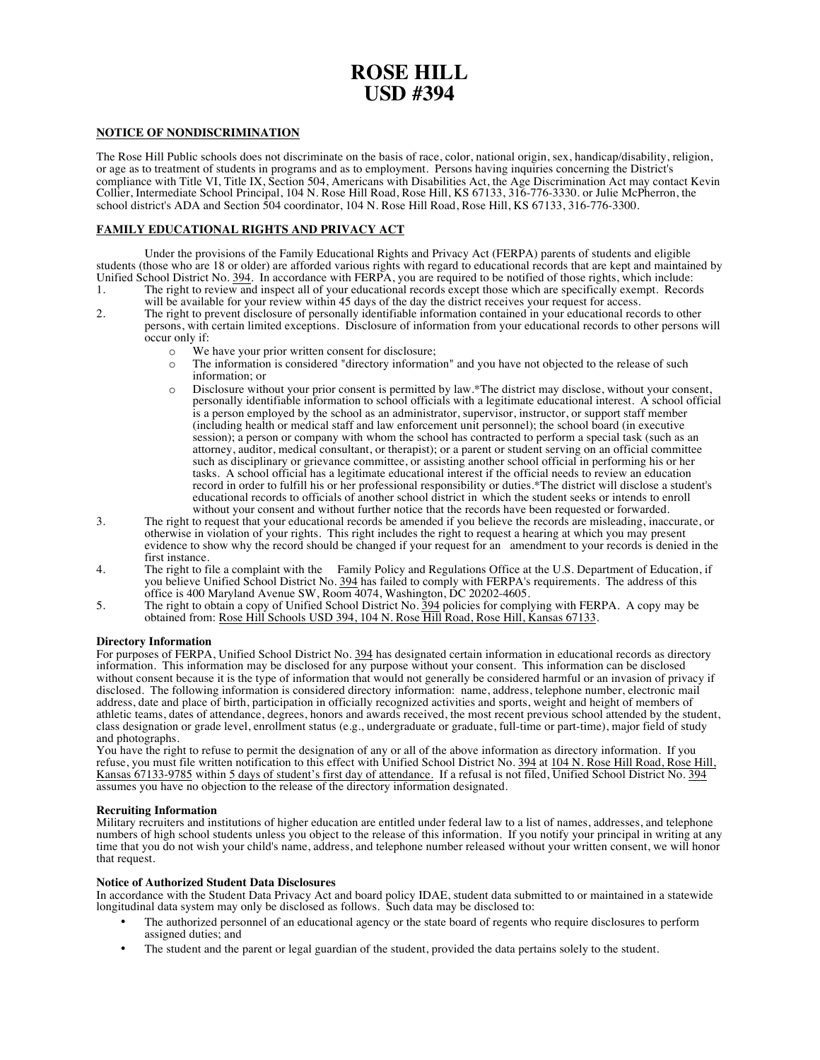## **ROSE HILL USD #394**

#### **NOTICE OF NONDISCRIMINATION**

The Rose Hill Public schools does not discriminate on the basis of race, color, national origin, sex, handicap/disability, religion, or age as to treatment of students in programs and as to employment. Persons having inquiries concerning the District's compliance with Title VI, Title IX, Section 504, Americans with Disabilities Act, the Age Discrimination Act may contact Kevin Collier, Intermediate School Principal, 104 N. Rose Hill Road, Rose Hill, KS 67133, 316-776-333 school district's ADA and Section 504 coordinator, 104 N. Rose Hill Road, Rose Hill, KS 67133, 316-776-3300.

#### **FAMILY EDUCATIONAL RIGHTS AND PRIVACY ACT**

Under the provisions of the Family Educational Rights and Privacy Act (FERPA) parents of students and eligible students (those who are 18 or older) are afforded various rights with regard to educational records that are kept and maintained by Unified School District No. 394. In accordance with FERPA, you are required to be notified of those rights, which include:<br>1. The right to review and inspect all of your educational records except those which are specifica The right to review and inspect all of your educational records except those which are specifically exempt. Records

- will be available for your review within 45 days of the day the district receives your request for access.
- 2. The right to prevent disclosure of personally identifiable information contained in your educational records to other persons, with certain limited exceptions. Disclosure of information from your educational records to other persons will  $\begin{array}{c}\n\text{occur only if:} \\
\text{o} & \text{We}\n\end{array}$ 
	- We have your prior written consent for disclosure;
	- o The information is considered "directory information" and you have not objected to the release of such information; or
	- o Disclosure without your prior consent is permitted by law.\*The district may disclose, without your consent, personally identifiable information to school officials with a legitimate educational interest. A school official is a person employed by the school as an administrator, supervisor, instructor, or support staff member (including health or medical staff and law enforcement unit personnel); the school board (in executive session); a person or company with whom the school has contracted to perform a special task (such as an attorney, auditor, medical consultant, or therapist); or a parent or student serving on an official committee such as disciplinary or grievance committee, or assisting another school official in performing his or her tasks. A school official has a legitimate educational interest if the official needs to review an education record in order to fulfill his or her professional responsibility or duties.\*The district will disclose a student's educational records to officials of another school district in which the student seeks or intends to enroll without your consent and without further notice that the records have been requested or forwarded.
- 3. The right to request that your educational records be amended if you believe the records are misleading, inaccurate, or otherwise in violation of your rights. This right includes the right to request a hearing at which you may present evidence to show why the record should be changed if your request for an amendment to your records is denied in the first instance.
- 4. The right to file a complaint with the Family Policy and Regulations Office at the U.S. Department of Education, if you believe Unified School District No. 394 has failed to comply with FERPA's requirements. The address of this office is 400 Maryland Avenue SW, Room 4074, Washington, DC 20202-4605.
- 5. The right to obtain a copy of Unified School District No. 394 policies for complying with FERPA. A copy may be obtained from: Rose Hill Schools USD 394, 104 N. Rose Hill Road, Rose Hill, Kansas 67133.

#### **Directory Information**

For purposes of FERPA, Unified School District No. 394 has designated certain information in educational records as directory information. This information may be disclosed for any purpose without your consent. This information can be disclosed without consent because it is the type of information that would not generally be considered harmful or an invasion of privacy if disclosed. The following information is considered directory information: name, address, telephone number, electronic mail address, date and place of birth, participation in officially recognized activities and sports, weight and height of members of athletic teams, dates of attendance, degrees, honors and awards received, the most recent previous school attended by the student, class designation or grade level, enrollment status (e.g., undergraduate or graduate, full-time or part-time), major field of study and photographs.

You have the right to refuse to permit the designation of any or all of the above information as directory information. If you refuse, you must file written notification to this effect with Unified School District No. 394 at 104 N. Rose Hill Road, Rose Hill, Kansas 67133-9785 within 5 days of student's first day of attendance. If a refusal is not filed, Unified School District No. 394 assumes you have no objection to the release of the directory information designated.

#### **Recruiting Information**

Military recruiters and institutions of higher education are entitled under federal law to a list of names, addresses, and telephone numbers of high school students unless you object to the release of this information. If you notify your principal in writing at any time that you do not wish your child's name, address, and telephone number released without your written consent, we will honor that request.

#### **Notice of Authorized Student Data Disclosures**

In accordance with the Student Data Privacy Act and board policy IDAE, student data submitted to or maintained in a statewide longitudinal data system may only be disclosed as follows. Such data may be disclosed to:

- The authorized personnel of an educational agency or the state board of regents who require disclosures to perform assigned duties; and
- The student and the parent or legal guardian of the student, provided the data pertains solely to the student.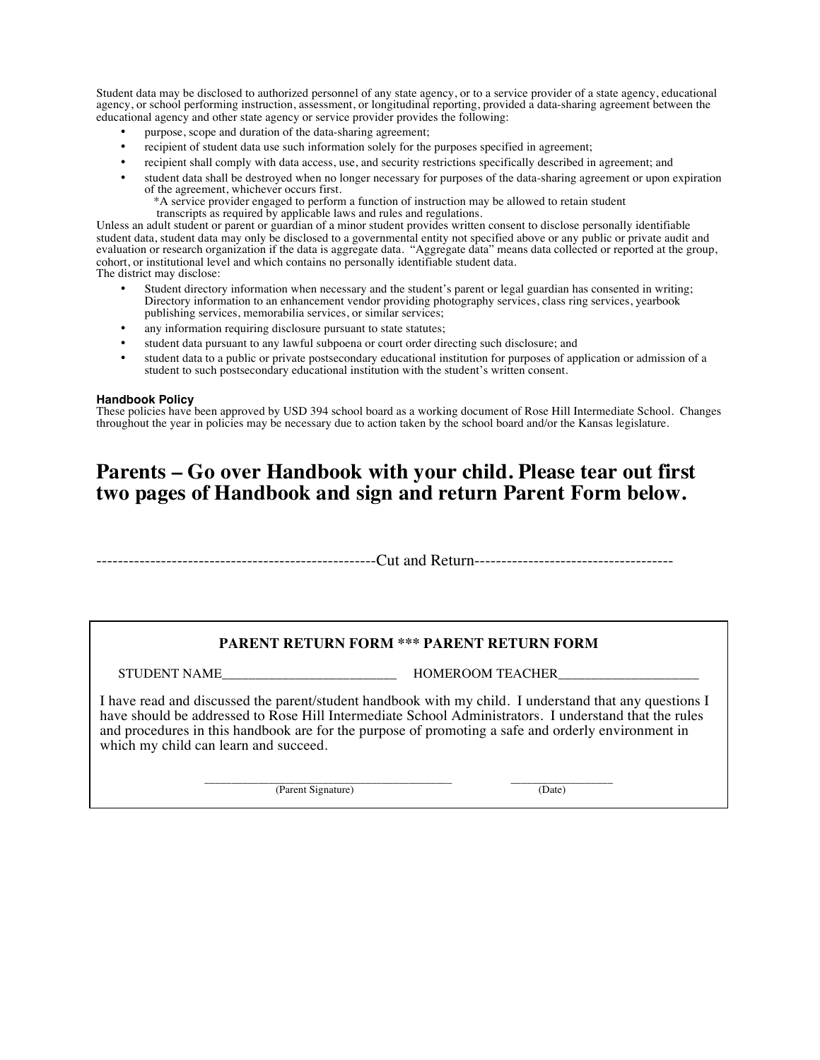Student data may be disclosed to authorized personnel of any state agency, or to a service provider of a state agency, educational agency, or school performing instruction, assessment, or longitudinal reporting, provided a data-sharing agreement between the educational agency and other state agency or service provider provides the following:

- purpose, scope and duration of the data-sharing agreement;
- recipient of student data use such information solely for the purposes specified in agreement;
- recipient shall comply with data access, use, and security restrictions specifically described in agreement; and
- student data shall be destroyed when no longer necessary for purposes of the data-sharing agreement or upon expiration of the agreement, whichever occurs first.
	- \*A service provider engaged to perform a function of instruction may be allowed to retain student transcripts as required by applicable laws and rules and regulations.

Unless an adult student or parent or guardian of a minor student provides written consent to disclose personally identifiable student data, student data may only be disclosed to a governmental entity not specified above or any public or private audit and evaluation or research organization if the data is aggregate data. "Aggregate data" means data collected or reported at the group, cohort, or institutional level and which contains no personally identifiable student data. The district may disclose:

- Student directory information when necessary and the student's parent or legal guardian has consented in writing; Directory information to an enhancement vendor providing photography services, class ring services, yearbook publishing services, memorabilia services, or similar services;
- any information requiring disclosure pursuant to state statutes;
- student data pursuant to any lawful subpoena or court order directing such disclosure; and
- student data to a public or private postsecondary educational institution for purposes of application or admission of a student to such postsecondary educational institution with the student's written consent.

#### **Handbook Policy**

These policies have been approved by USD 394 school board as a working document of Rose Hill Intermediate School. Changes throughout the year in policies may be necessary due to action taken by the school board and/or the Kansas legislature.

## **Parents – Go over Handbook with your child. Please tear out first two pages of Handbook and sign and return Parent Form below.**

----------------------------------------------------Cut and Return-------------------------------------

#### **PARENT RETURN FORM \*\*\* PARENT RETURN FORM**

STUDENT NAME THE RESERVE HOMEROOM TEACHER

I have read and discussed the parent/student handbook with my child. I understand that any questions I have should be addressed to Rose Hill Intermediate School Administrators. I understand that the rules and procedures in this handbook are for the purpose of promoting a safe and orderly environment in which my child can learn and succeed.

\_\_\_\_\_\_\_\_\_\_\_\_\_\_\_\_\_\_\_\_\_\_\_\_\_\_\_\_\_\_\_\_\_\_\_\_\_\_\_\_\_\_\_\_\_\_ \_\_\_\_\_\_\_\_\_\_\_\_\_\_\_\_\_\_\_ (Parent Signature) (Date)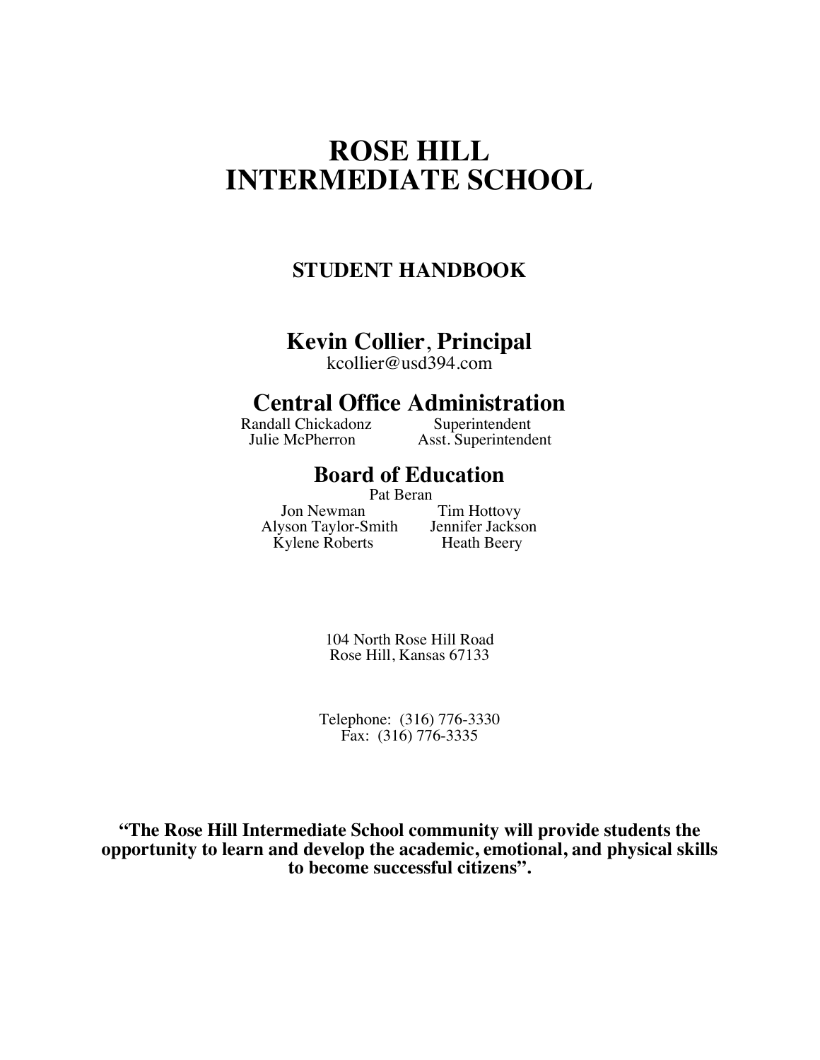## **ROSE HILL INTERMEDIATE SCHOOL**

## **STUDENT HANDBOOK**

## **Kevin Collier**, **Principal**

kcollier@usd394.com

# **Central Office Administration**<br>andall Chickadonz Superintendent

Randall Chickadonz<br>Julie McPherron

Asst. Superintendent

## **Board of Education**

Pat Beran<br>Jon Newman Alyson Taylor-Smith Jennifer Jackson Kylene Roberts Heath Beery

Tim Hottovy

104 North Rose Hill Road Rose Hill, Kansas 67133

Telephone: (316) 776-3330 Fax: (316) 776-3335

**"The Rose Hill Intermediate School community will provide students the opportunity to learn and develop the academic, emotional, and physical skills to become successful citizens".**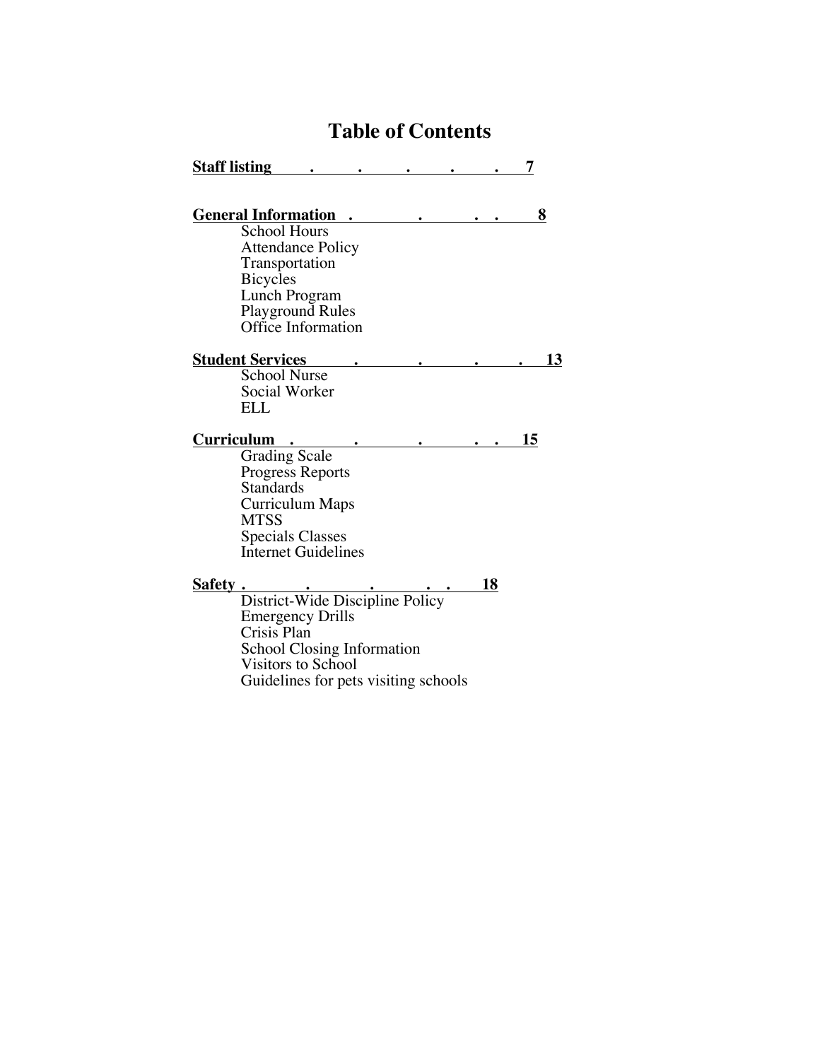## **Table of Contents**

| <b>Staff listing</b> |                                                                      |                                                                                                              |                                                                         |    |    |
|----------------------|----------------------------------------------------------------------|--------------------------------------------------------------------------------------------------------------|-------------------------------------------------------------------------|----|----|
|                      | <b>General Information</b><br><b>School Hours</b><br><b>Bicycles</b> | <b>Attendance Policy</b><br>Transportation<br>Lunch Program<br><b>Playground Rules</b><br>Office Information |                                                                         |    | 8  |
|                      | <b>Student Services</b><br><b>School Nurse</b><br><b>ELL</b>         | Social Worker                                                                                                |                                                                         |    | 13 |
| Curriculum           | <b>Grading Scale</b><br><b>Standards</b><br><b>MTSS</b>              | <b>Progress Reports</b><br>Curriculum Maps<br><b>Specials Classes</b><br><b>Internet Guidelines</b>          |                                                                         |    | 15 |
| Safety.              | Crisis Plan                                                          | <b>Emergency Drills</b><br><b>School Closing Information</b><br>Visitors to School                           | District-Wide Discipline Policy<br>Guidelines for pets visiting schools | 18 |    |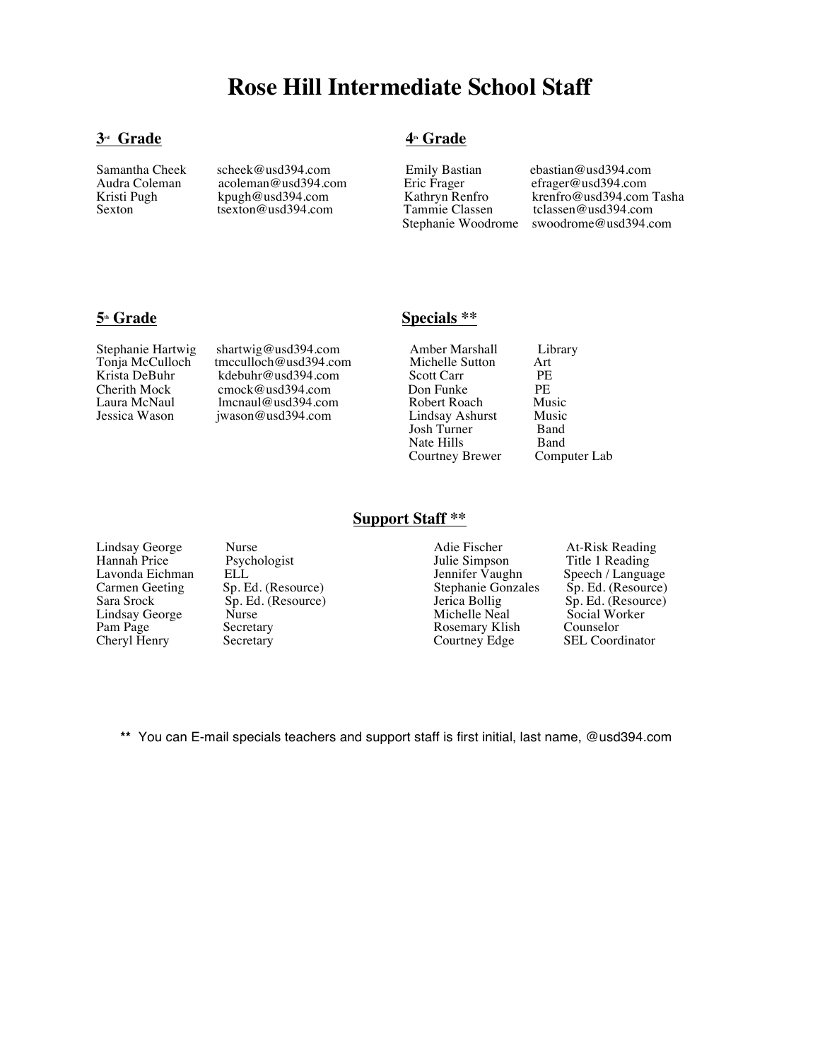## **Rose Hill Intermediate School Staff**

#### **3<sup>rd</sup> Grade** 4<sup>th</sup> Grade

Samantha Cheek scheek@usd394.com Emily Bastian ebastian@usd394.com Audra Coleman acoleman@usd394.com Eric Frager efrager@usd394.com Audra Coleman acoleman@usd394.com Eric Frager efrager@usd394.com

Kristi Pugh kpugh@usd394.com Kathryn Renfro krenfro@usd394.com Tasha<br>Sexton tsexton@usd394.com Tammie Classen tclassen@usd394.com Stephanie Woodrome swoodrome@usd394.com

Stephanie Hartwig shartwig@usd394.com Amber Marshall Library<br>
Tonia McCulloch tmcculloch@usd394.com Michelle Sutton Art Tonja McCulloch tmcculloch@usd394.com Michelle Sutton Art Krista DeBuhr kdebuhr@usd394.com Scott Carr PE  $\frac{C}{C}$ Cherith Mock cmock@usd394.com Don Funke PE<br>
Laura McNaul Imcnaul@usd394.com Robert Roach Music Laura McNaul lmcnaul@usd394.com Robert Roach Music<br>
Jessica Wason iwason@usd394.com Lindsay Ashurst Music

#### **5<sup>th</sup> Grade** Specials \*\*

jwason@usd394.com Lindsay Ashurst Music<br>Josh Turner Band Josh Turner Band<br>Nate Hills Band Nate Hills<br>Courtney Brewer Computer Lab Courtney Brewer

**Lindsay George** Lindsay George Nurse Nurse Adie Fischer At-Risk Reading<br>
Hannah Price Psychologist Julie Simpson Title 1 Reading

Hannah Price Psychologist Sulie Simpson Title 1 Reading Lavonda Eichman ELL Julie Simpson Title 1 Reading Lavonda Eichman ELL Jennifer Vaughn Speech / Language Carmen Geeting Sp. Ed. (Resource) Speech / Language Stephanie Gonzales Sp. Ed. (Resource) Carmen Geeting Sp. Ed. (Resource) Stephanie Gonzales Sp. Ed. (Resource)<br>Sara Srock Sp. Ed. (Resource) Jerica Bollig Sp. Ed. (Resource) Sara Srock Sp. Ed. (Resource) Jerica Bollig Sp. Ed. (Resource) Lindsay George Nurse Michelle Neal Social Worker Pam Page Secretary Secretary Rosemary Klish Counselor Cheryl Henry Secretary Rosemary Rosemary Klish Counselor

SEL Coordinator

**\*\*** You can E-mail specials teachers and support staff is first initial, last name, @usd394.com

**Support Staff \*\***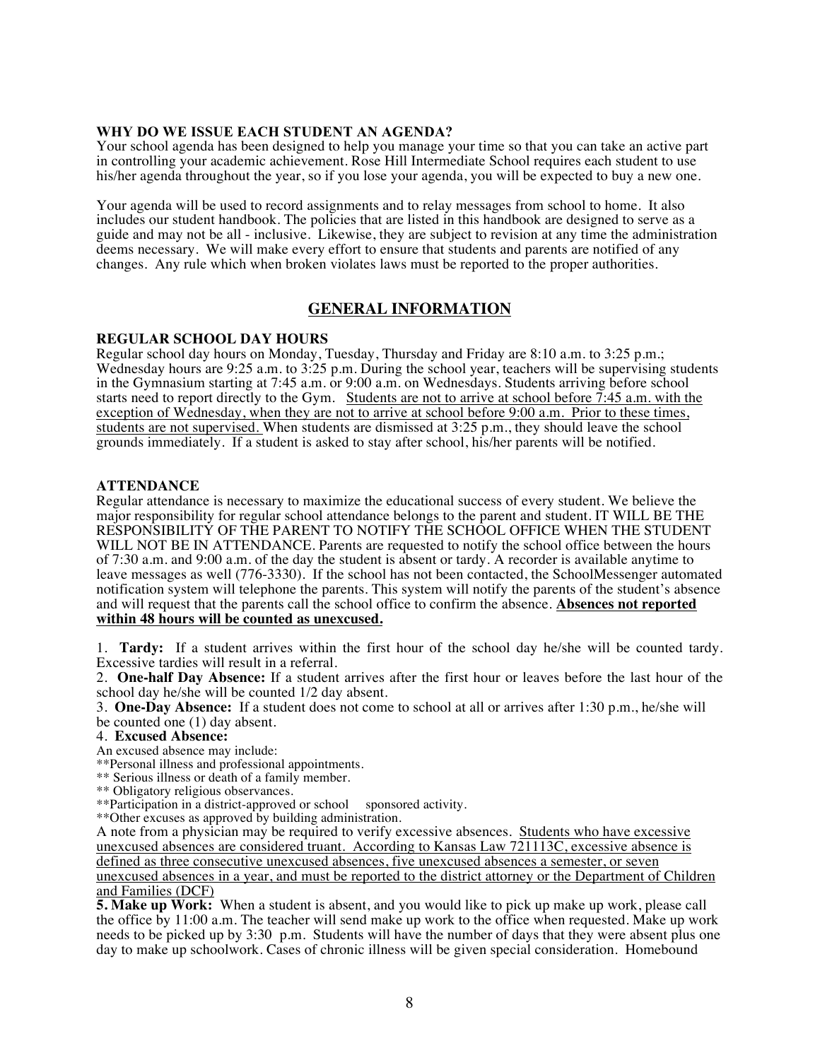#### **WHY DO WE ISSUE EACH STUDENT AN AGENDA?**

Your school agenda has been designed to help you manage your time so that you can take an active part in controlling your academic achievement. Rose Hill Intermediate School requires each student to use his/her agenda throughout the year, so if you lose your agenda, you will be expected to buy a new one.

Your agenda will be used to record assignments and to relay messages from school to home. It also includes our student handbook. The policies that are listed in this handbook are designed to serve as a guide and may not be all - inclusive. Likewise, they are subject to revision at any time the administration deems necessary. We will make every effort to ensure that students and parents are notified of any changes. Any rule which when broken violates laws must be reported to the proper authorities.

### **GENERAL INFORMATION**

#### **REGULAR SCHOOL DAY HOURS**

Regular school day hours on Monday, Tuesday, Thursday and Friday are 8:10 a.m. to 3:25 p.m.; Wednesday hours are 9:25 a.m. to 3:25 p.m. During the school year, teachers will be supervising students in the Gymnasium starting at 7:45 a.m. or 9:00 a.m. on Wednesdays. Students arriving before school starts need to report directly to the Gym. Students are not to arrive at school before  $\overline{7:}45$  a.m. with the exception of Wednesday, when they are not to arrive at school before 9:00 a.m. Prior to these times, students are not supervised. When students are dismissed at 3:25 p.m., they should leave the school grounds immediately. If a student is asked to stay after school, his/her parents will be notified.

#### **ATTENDANCE**

Regular attendance is necessary to maximize the educational success of every student. We believe the major responsibility for regular school attendance belongs to the parent and student. IT WILL BE THE RESPONSIBILITY OF THE PARENT TO NOTIFY THE SCHOOL OFFICE WHEN THE STUDENT WILL NOT BE IN ATTENDANCE. Parents are requested to notify the school office between the hours of 7:30 a.m. and 9:00 a.m. of the day the student is absent or tardy. A recorder is available anytime to leave messages as well (776-3330). If the school has not been contacted, the SchoolMessenger automated notification system will telephone the parents. This system will notify the parents of the student's absence and will request that the parents call the school office to confirm the absence. **Absences not reported within 48 hours will be counted as unexcused.**

1. **Tardy:** If a student arrives within the first hour of the school day he/she will be counted tardy. Excessive tardies will result in a referral.

2. **One-half Day Absence:** If a student arrives after the first hour or leaves before the last hour of the school day he/she will be counted 1/2 day absent.

3. **One-Day Absence:** If a student does not come to school at all or arrives after 1:30 p.m., he/she will

be counted one (1) day absent.

4. **Excused Absence:**

An excused absence may include:

\*\*Personal illness and professional appointments.

\*\* Serious illness or death of a family member.

\*\* Obligatory religious observances.

\*\*Participation in a district-approved or school sponsored activity.

\*\*Other excuses as approved by building administration.

A note from a physician may be required to verify excessive absences. Students who have excessive unexcused absences are considered truant. According to Kansas Law 721113C, excessive absence is defined as three consecutive unexcused absences, five unexcused absences a semester, or seven unexcused absences in a year, and must be reported to the district attorney or the Department of Children and Families (DCF)

**5. Make up Work:** When a student is absent, and you would like to pick up make up work, please call the office by 11:00 a.m. The teacher will send make up work to the office when requested. Make up work needs to be picked up by 3:30 p.m. Students will have the number of days that they were absent plus one day to make up schoolwork. Cases of chronic illness will be given special consideration. Homebound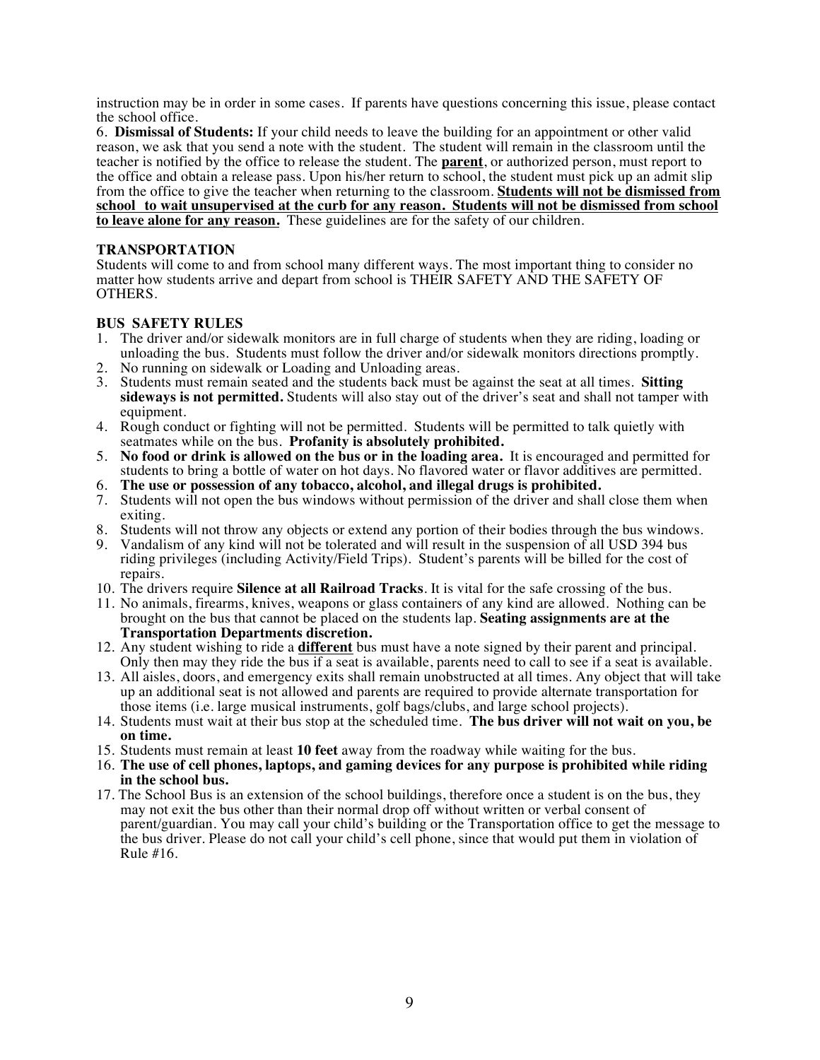instruction may be in order in some cases. If parents have questions concerning this issue, please contact the school office.

6. **Dismissal of Students:** If your child needs to leave the building for an appointment or other valid reason, we ask that you send a note with the student. The student will remain in the classroom until the teacher is notified by the office to release the student. The **parent**, or authorized person, must report to the office and obtain a release pass. Upon his/her return to school, the student must pick up an admit slip from the office to give the teacher when returning to the classroom. **Students will not be dismissed from school to wait unsupervised at the curb for any reason. Students will not be dismissed from school to leave alone for any reason.** These guidelines are for the safety of our children.

#### **TRANSPORTATION**

Students will come to and from school many different ways. The most important thing to consider no matter how students arrive and depart from school is THEIR SAFETY AND THE SAFETY OF OTHERS.

#### **BUS SAFETY RULES**

- 1. The driver and/or sidewalk monitors are in full charge of students when they are riding, loading or unloading the bus. Students must follow the driver and/or sidewalk monitors directions promptly.
- 2. No running on sidewalk or Loading and Unloading areas.
- 3. Students must remain seated and the students back must be against the seat at all times. **Sitting sideways is not permitted.** Students will also stay out of the driver's seat and shall not tamper with equipment.
- 4. Rough conduct or fighting will not be permitted. Students will be permitted to talk quietly with seatmates while on the bus. **Profanity is absolutely prohibited.**
- 5. **No food or drink is allowed on the bus or in the loading area.** It is encouraged and permitted for students to bring a bottle of water on hot days. No flavored water or flavor additives are permitted.
- 6. **The use or possession of any tobacco, alcohol, and illegal drugs is prohibited.**
- 7. Students will not open the bus windows without permission of the driver and shall close them when exiting.
- 8. Students will not throw any objects or extend any portion of their bodies through the bus windows.
- 9. Vandalism of any kind will not be tolerated and will result in the suspension of all USD 394 bus riding privileges (including Activity/Field Trips). Student's parents will be billed for the cost of repairs.
- 10. The drivers require **Silence at all Railroad Tracks**. It is vital for the safe crossing of the bus.
- 11. No animals, firearms, knives, weapons or glass containers of any kind are allowed. Nothing can be brought on the bus that cannot be placed on the students lap. **Seating assignments are at the Transportation Departments discretion.**
- 12. Any student wishing to ride a **different** bus must have a note signed by their parent and principal. Only then may they ride the bus if a seat is available, parents need to call to see if a seat is available.
- 13. All aisles, doors, and emergency exits shall remain unobstructed at all times. Any object that will take up an additional seat is not allowed and parents are required to provide alternate transportation for those items (i.e. large musical instruments, golf bags/clubs, and large school projects).
- 14. Students must wait at their bus stop at the scheduled time. **The bus driver will not wait on you, be on time.**
- 15. Students must remain at least **10 feet** away from the roadway while waiting for the bus.
- 16. **The use of cell phones, laptops, and gaming devices for any purpose is prohibited while riding in the school bus.**
- 17. The School Bus is an extension of the school buildings, therefore once a student is on the bus, they may not exit the bus other than their normal drop off without written or verbal consent of parent/guardian. You may call your child's building or the Transportation office to get the message to the bus driver. Please do not call your child's cell phone, since that would put them in violation of Rule #16.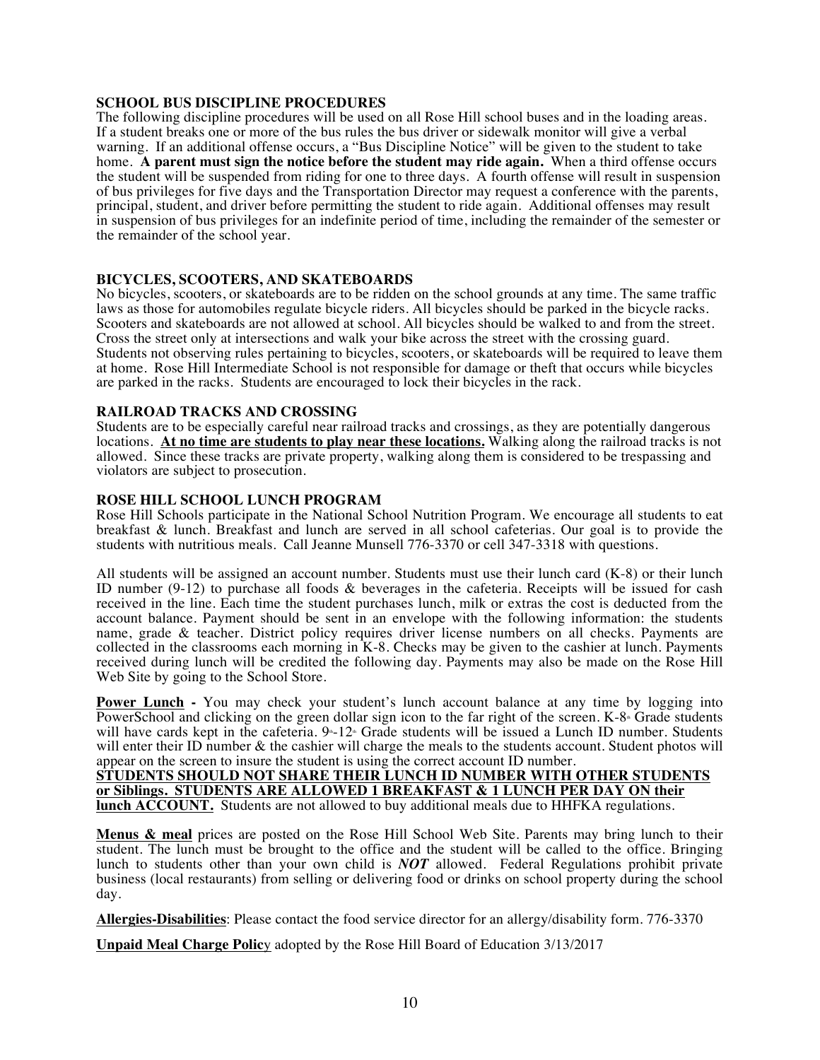#### **SCHOOL BUS DISCIPLINE PROCEDURES**

The following discipline procedures will be used on all Rose Hill school buses and in the loading areas. If a student breaks one or more of the bus rules the bus driver or sidewalk monitor will give a verbal warning. If an additional offense occurs, a "Bus Discipline Notice" will be given to the student to take home. **A parent must sign the notice before the student may ride again.** When a third offense occurs the student will be suspended from riding for one to three days. A fourth offense will result in suspension of bus privileges for five days and the Transportation Director may request a conference with the parents, principal, student, and driver before permitting the student to ride again. Additional offenses may result in suspension of bus privileges for an indefinite period of time, including the remainder of the semester or the remainder of the school year.

#### **BICYCLES, SCOOTERS, AND SKATEBOARDS**

No bicycles, scooters, or skateboards are to be ridden on the school grounds at any time. The same traffic laws as those for automobiles regulate bicycle riders. All bicycles should be parked in the bicycle racks. Scooters and skateboards are not allowed at school. All bicycles should be walked to and from the street. Cross the street only at intersections and walk your bike across the street with the crossing guard. Students not observing rules pertaining to bicycles, scooters, or skateboards will be required to leave them at home. Rose Hill Intermediate School is not responsible for damage or theft that occurs while bicycles are parked in the racks. Students are encouraged to lock their bicycles in the rack.

#### **RAILROAD TRACKS AND CROSSING**

Students are to be especially careful near railroad tracks and crossings, as they are potentially dangerous locations. **At no time are students to play near these locations.** Walking along the railroad tracks is not allowed. Since these tracks are private property, walking along them is considered to be trespassing and violators are subject to prosecution.

#### **ROSE HILL SCHOOL LUNCH PROGRAM**

Rose Hill Schools participate in the National School Nutrition Program. We encourage all students to eat breakfast & lunch. Breakfast and lunch are served in all school cafeterias. Our goal is to provide the students with nutritious meals. Call Jeanne Munsell 776-3370 or cell 347-3318 with questions.

All students will be assigned an account number. Students must use their lunch card (K-8) or their lunch ID number (9-12) to purchase all foods & beverages in the cafeteria. Receipts will be issued for cash received in the line. Each time the student purchases lunch, milk or extras the cost is deducted from the account balance. Payment should be sent in an envelope with the following information: the students name, grade & teacher. District policy requires driver license numbers on all checks. Payments are collected in the classrooms each morning in K-8. Checks may be given to the cashier at lunch. Payments received during lunch will be credited the following day. Payments may also be made on the Rose Hill Web Site by going to the School Store.

**Power Lunch -** You may check your student's lunch account balance at any time by logging into PowerSchool and clicking on the green dollar sign icon to the far right of the screen.  $K-8<sup>th</sup>$  Grade students will have cards kept in the cafeteria.  $9-12$  Grade students will be issued a Lunch ID number. Students will enter their ID number & the cashier will charge the meals to the students account. Student photos will appear on the screen to insure the student is using the correct account ID number.

**STUDENTS SHOULD NOT SHARE THEIR LUNCH ID NUMBER WITH OTHER STUDENTS or Siblings. STUDENTS ARE ALLOWED 1 BREAKFAST & 1 LUNCH PER DAY ON their lunch ACCOUNT.** Students are not allowed to buy additional meals due to HHFKA regulations.

**Menus & meal** prices are posted on the Rose Hill School Web Site. Parents may bring lunch to their student. The lunch must be brought to the office and the student will be called to the office. Bringing lunch to students other than your own child is *NOT* allowed. Federal Regulations prohibit private business (local restaurants) from selling or delivering food or drinks on school property during the school day.

**Allergies-Disabilities**: Please contact the food service director for an allergy/disability form. 776-3370

**Unpaid Meal Charge Polic**y adopted by the Rose Hill Board of Education 3/13/2017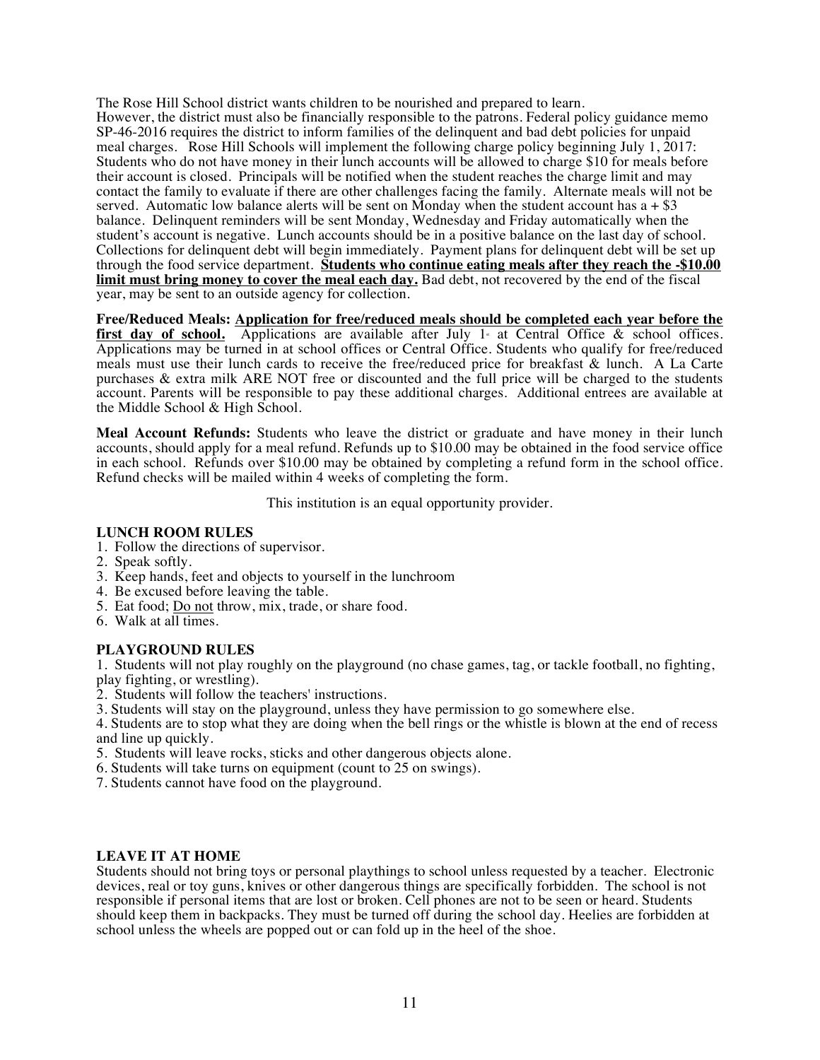The Rose Hill School district wants children to be nourished and prepared to learn. However, the district must also be financially responsible to the patrons. Federal policy guidance memo SP-46-2016 requires the district to inform families of the delinquent and bad debt policies for unpaid meal charges. Rose Hill Schools will implement the following charge policy beginning July 1, 2017: Students who do not have money in their lunch accounts will be allowed to charge \$10 for meals before their account is closed. Principals will be notified when the student reaches the charge limit and may contact the family to evaluate if there are other challenges facing the family. Alternate meals will not be served. Automatic low balance alerts will be sent on Monday when the student account has  $a + $3$ balance. Delinquent reminders will be sent Monday, Wednesday and Friday automatically when the student's account is negative. Lunch accounts should be in a positive balance on the last day of school. Collections for delinquent debt will begin immediately. Payment plans for delinquent debt will be set up through the food service department. **Students who continue eating meals after they reach the -\$10.00 limit must bring money to cover the meal each day.** Bad debt, not recovered by the end of the fiscal year, may be sent to an outside agency for collection.

**Free/Reduced Meals: Application for free/reduced meals should be completed each year before the first day of school.** Applications are available after July 1 at Central Office  $\&$  school offices. Applications may be turned in at school offices or Central Office. Students who qualify for free/reduced meals must use their lunch cards to receive the free/reduced price for breakfast & lunch. A La Carte purchases & extra milk ARE NOT free or discounted and the full price will be charged to the students account. Parents will be responsible to pay these additional charges. Additional entrees are available at the Middle School & High School.

**Meal Account Refunds:** Students who leave the district or graduate and have money in their lunch accounts, should apply for a meal refund. Refunds up to \$10.00 may be obtained in the food service office in each school. Refunds over \$10.00 may be obtained by completing a refund form in the school office. Refund checks will be mailed within 4 weeks of completing the form.

This institution is an equal opportunity provider.

#### **LUNCH ROOM RULES**

- 1. Follow the directions of supervisor.
- 2. Speak softly.
- 3. Keep hands, feet and objects to yourself in the lunchroom
- 4. Be excused before leaving the table.
- 5. Eat food; Do not throw, mix, trade, or share food.
- 6. Walk at all times.

#### **PLAYGROUND RULES**

1. Students will not play roughly on the playground (no chase games, tag, or tackle football, no fighting, play fighting, or wrestling).

- 2. Students will follow the teachers' instructions.
- 3. Students will stay on the playground, unless they have permission to go somewhere else.

4. Students are to stop what they are doing when the bell rings or the whistle is blown at the end of recess and line up quickly.

- 5. Students will leave rocks, sticks and other dangerous objects alone.
- 6. Students will take turns on equipment (count to 25 on swings).
- 7. Students cannot have food on the playground.

#### **LEAVE IT AT HOME**

Students should not bring toys or personal playthings to school unless requested by a teacher. Electronic devices, real or toy guns, knives or other dangerous things are specifically forbidden. The school is not responsible if personal items that are lost or broken. Cell phones are not to be seen or heard. Students should keep them in backpacks. They must be turned off during the school day. Heelies are forbidden at school unless the wheels are popped out or can fold up in the heel of the shoe.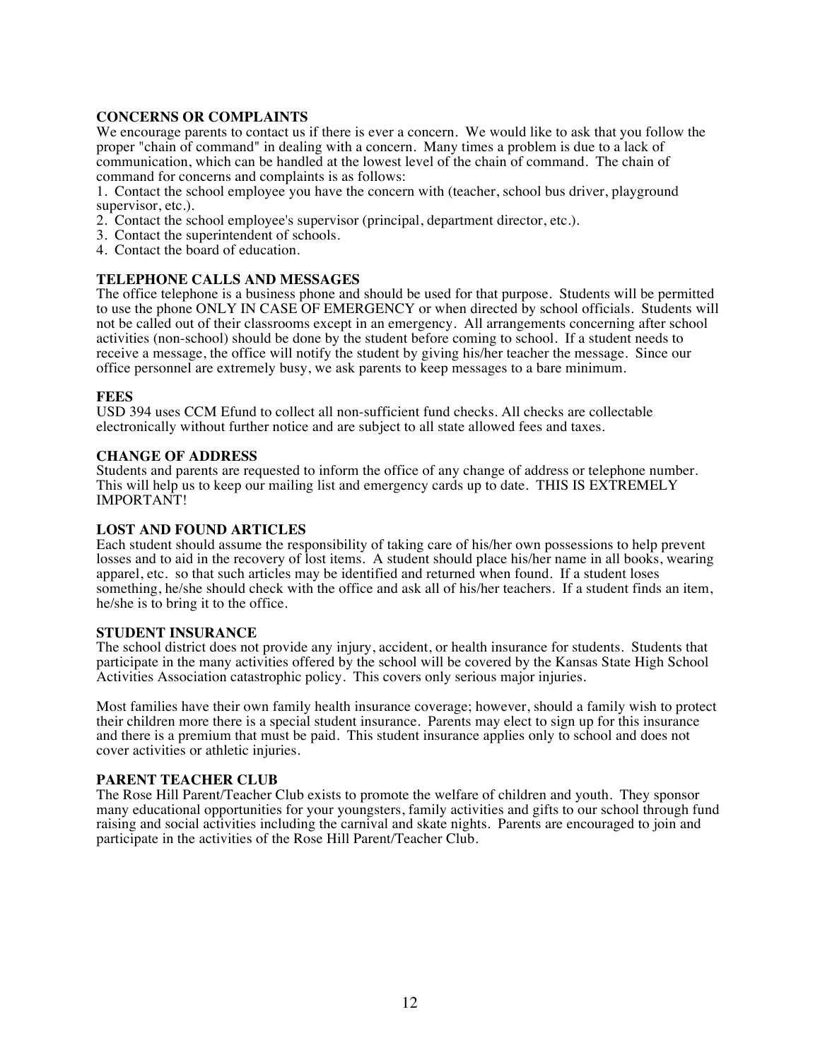#### **CONCERNS OR COMPLAINTS**

We encourage parents to contact us if there is ever a concern. We would like to ask that you follow the proper "chain of command" in dealing with a concern. Many times a problem is due to a lack of communication, which can be handled at the lowest level of the chain of command. The chain of command for concerns and complaints is as follows:

1. Contact the school employee you have the concern with (teacher, school bus driver, playground supervisor, etc.).

- 2. Contact the school employee's supervisor (principal, department director, etc.).
- 3. Contact the superintendent of schools.
- 4. Contact the board of education.

#### **TELEPHONE CALLS AND MESSAGES**

The office telephone is a business phone and should be used for that purpose. Students will be permitted to use the phone ONLY IN CASE OF EMERGENCY or when directed by school officials. Students will not be called out of their classrooms except in an emergency. All arrangements concerning after school activities (non-school) should be done by the student before coming to school. If a student needs to receive a message, the office will notify the student by giving his/her teacher the message. Since our office personnel are extremely busy, we ask parents to keep messages to a bare minimum.

#### **FEES**

USD 394 uses CCM Efund to collect all non-sufficient fund checks. All checks are collectable electronically without further notice and are subject to all state allowed fees and taxes.

#### **CHANGE OF ADDRESS**

Students and parents are requested to inform the office of any change of address or telephone number. This will help us to keep our mailing list and emergency cards up to date. THIS IS EXTREMELY IMPORTANT!

#### **LOST AND FOUND ARTICLES**

Each student should assume the responsibility of taking care of his/her own possessions to help prevent losses and to aid in the recovery of lost items. A student should place his/her name in all books, wearing apparel, etc. so that such articles may be identified and returned when found. If a student loses something, he/she should check with the office and ask all of his/her teachers. If a student finds an item, he/she is to bring it to the office.

#### **STUDENT INSURANCE**

The school district does not provide any injury, accident, or health insurance for students. Students that participate in the many activities offered by the school will be covered by the Kansas State High School Activities Association catastrophic policy. This covers only serious major injuries.

Most families have their own family health insurance coverage; however, should a family wish to protect their children more there is a special student insurance. Parents may elect to sign up for this insurance and there is a premium that must be paid. This student insurance applies only to school and does not cover activities or athletic injuries.

#### **PARENT TEACHER CLUB**

The Rose Hill Parent/Teacher Club exists to promote the welfare of children and youth. They sponsor many educational opportunities for your youngsters, family activities and gifts to our school through fund raising and social activities including the carnival and skate nights. Parents are encouraged to join and participate in the activities of the Rose Hill Parent/Teacher Club.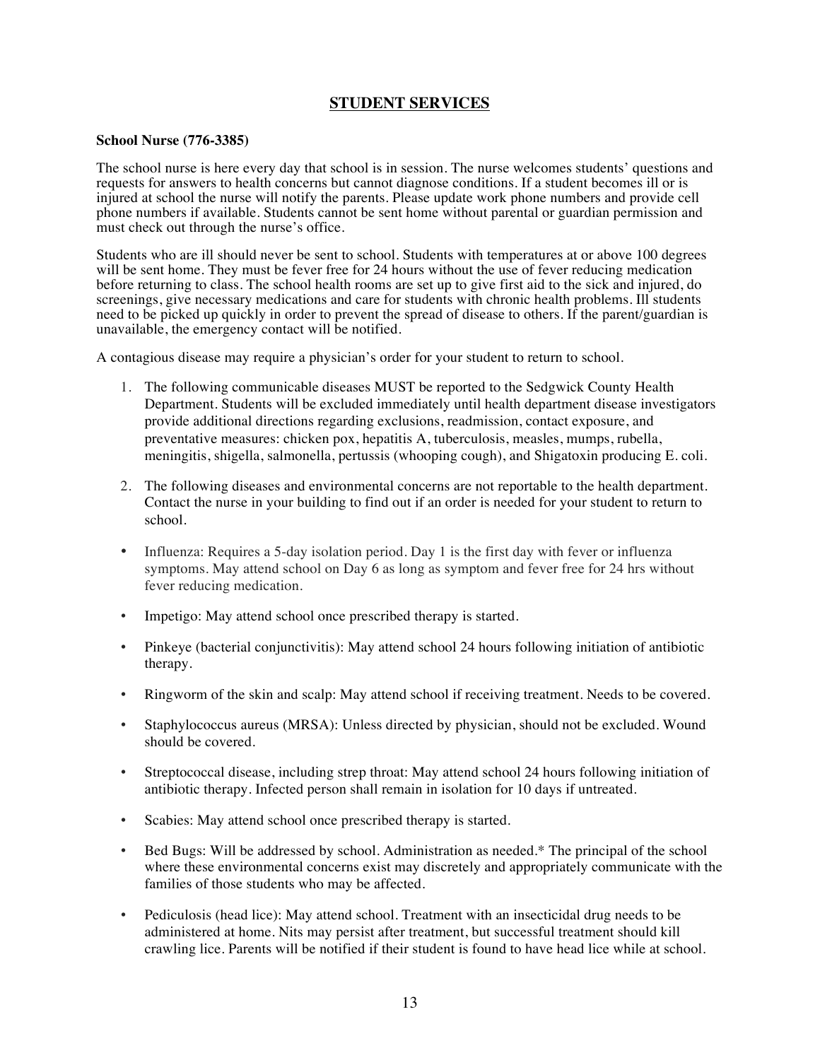### **STUDENT SERVICES**

#### **School Nurse (776-3385)**

The school nurse is here every day that school is in session. The nurse welcomes students' questions and requests for answers to health concerns but cannot diagnose conditions. If a student becomes ill or is injured at school the nurse will notify the parents. Please update work phone numbers and provide cell phone numbers if available. Students cannot be sent home without parental or guardian permission and must check out through the nurse's office.

Students who are ill should never be sent to school. Students with temperatures at or above 100 degrees will be sent home. They must be fever free for 24 hours without the use of fever reducing medication before returning to class. The school health rooms are set up to give first aid to the sick and injured, do screenings, give necessary medications and care for students with chronic health problems. Ill students need to be picked up quickly in order to prevent the spread of disease to others. If the parent/guardian is unavailable, the emergency contact will be notified.

A contagious disease may require a physician's order for your student to return to school.

- 1. The following communicable diseases MUST be reported to the Sedgwick County Health Department. Students will be excluded immediately until health department disease investigators provide additional directions regarding exclusions, readmission, contact exposure, and preventative measures: chicken pox, hepatitis A, tuberculosis, measles, mumps, rubella, meningitis, shigella, salmonella, pertussis (whooping cough), and Shigatoxin producing E. coli.
- 2. The following diseases and environmental concerns are not reportable to the health department. Contact the nurse in your building to find out if an order is needed for your student to return to school.
- Influenza: Requires a 5-day isolation period. Day 1 is the first day with fever or influenza symptoms. May attend school on Day 6 as long as symptom and fever free for 24 hrs without fever reducing medication.
- Impetigo: May attend school once prescribed therapy is started.
- Pinkeye (bacterial conjunctivitis): May attend school 24 hours following initiation of antibiotic therapy.
- Ringworm of the skin and scalp: May attend school if receiving treatment. Needs to be covered.
- Staphylococcus aureus (MRSA): Unless directed by physician, should not be excluded. Wound should be covered.
- Streptococcal disease, including strep throat: May attend school 24 hours following initiation of antibiotic therapy. Infected person shall remain in isolation for 10 days if untreated.
- Scabies: May attend school once prescribed therapy is started.
- Bed Bugs: Will be addressed by school. Administration as needed.\* The principal of the school where these environmental concerns exist may discretely and appropriately communicate with the families of those students who may be affected.
- Pediculosis (head lice): May attend school. Treatment with an insecticidal drug needs to be administered at home. Nits may persist after treatment, but successful treatment should kill crawling lice. Parents will be notified if their student is found to have head lice while at school.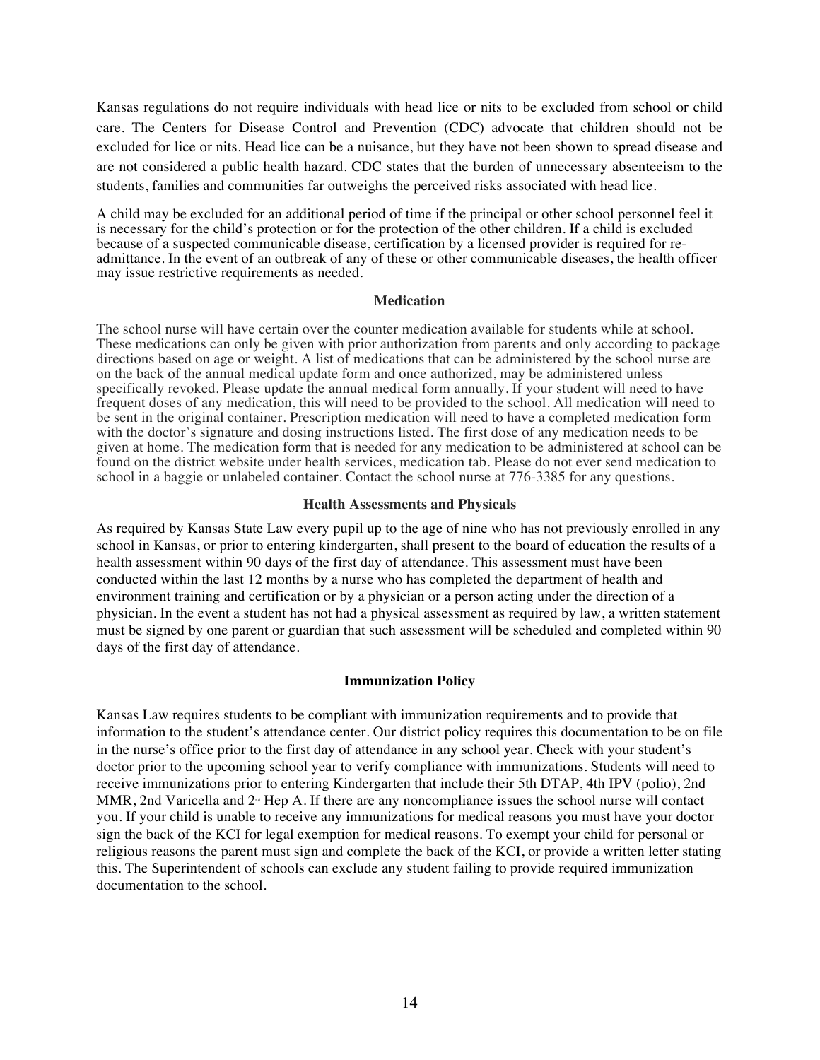Kansas regulations do not require individuals with head lice or nits to be excluded from school or child care. The Centers for Disease Control and Prevention (CDC) advocate that children should not be excluded for lice or nits. Head lice can be a nuisance, but they have not been shown to spread disease and are not considered a public health hazard. CDC states that the burden of unnecessary absenteeism to the students, families and communities far outweighs the perceived risks associated with head lice.

A child may be excluded for an additional period of time if the principal or other school personnel feel it is necessary for the child's protection or for the protection of the other children. If a child is excluded because of a suspected communicable disease, certification by a licensed provider is required for readmittance. In the event of an outbreak of any of these or other communicable diseases, the health officer may issue restrictive requirements as needed.

#### **Medication**

The school nurse will have certain over the counter medication available for students while at school. These medications can only be given with prior authorization from parents and only according to package directions based on age or weight. A list of medications that can be administered by the school nurse are on the back of the annual medical update form and once authorized, may be administered unless specifically revoked. Please update the annual medical form annually. If your student will need to have frequent doses of any medication, this will need to be provided to the school. All medication will need to be sent in the original container. Prescription medication will need to have a completed medication form with the doctor's signature and dosing instructions listed. The first dose of any medication needs to be given at home. The medication form that is needed for any medication to be administered at school can be found on the district website under health services, medication tab. Please do not ever send medication to school in a baggie or unlabeled container. Contact the school nurse at 776-3385 for any questions.

#### **Health Assessments and Physicals**

As required by Kansas State Law every pupil up to the age of nine who has not previously enrolled in any school in Kansas, or prior to entering kindergarten, shall present to the board of education the results of a health assessment within 90 days of the first day of attendance. This assessment must have been conducted within the last 12 months by a nurse who has completed the department of health and environment training and certification or by a physician or a person acting under the direction of a physician. In the event a student has not had a physical assessment as required by law, a written statement must be signed by one parent or guardian that such assessment will be scheduled and completed within 90 days of the first day of attendance.

#### **Immunization Policy**

Kansas Law requires students to be compliant with immunization requirements and to provide that information to the student's attendance center. Our district policy requires this documentation to be on file in the nurse's office prior to the first day of attendance in any school year. Check with your student's doctor prior to the upcoming school year to verify compliance with immunizations. Students will need to receive immunizations prior to entering Kindergarten that include their 5th DTAP, 4th IPV (polio), 2nd MMR, 2nd Varicella and  $2<sup>\omega</sup>$  Hep A. If there are any noncompliance issues the school nurse will contact you. If your child is unable to receive any immunizations for medical reasons you must have your doctor sign the back of the KCI for legal exemption for medical reasons. To exempt your child for personal or religious reasons the parent must sign and complete the back of the KCI, or provide a written letter stating this. The Superintendent of schools can exclude any student failing to provide required immunization documentation to the school.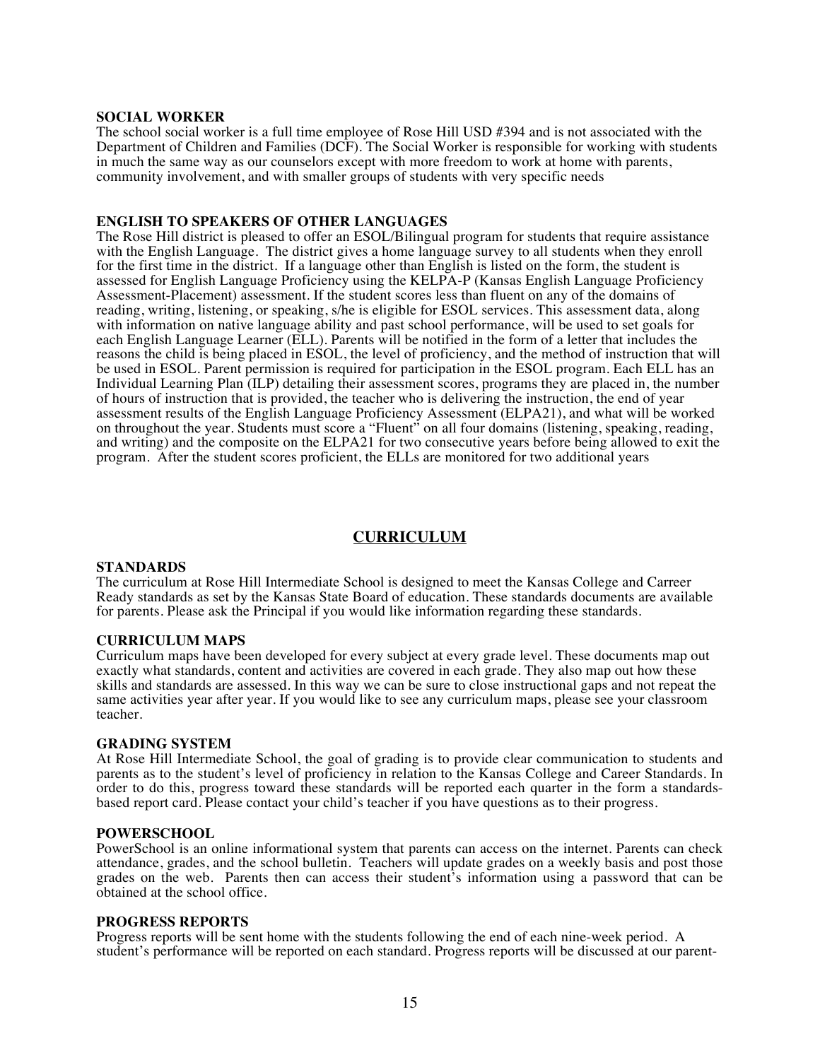#### **SOCIAL WORKER**

The school social worker is a full time employee of Rose Hill USD #394 and is not associated with the Department of Children and Families (DCF). The Social Worker is responsible for working with students in much the same way as our counselors except with more freedom to work at home with parents, community involvement, and with smaller groups of students with very specific needs

#### **ENGLISH TO SPEAKERS OF OTHER LANGUAGES**

The Rose Hill district is pleased to offer an ESOL/Bilingual program for students that require assistance with the English Language. The district gives a home language survey to all students when they enroll for the first time in the district. If a language other than English is listed on the form, the student is assessed for English Language Proficiency using the KELPA-P (Kansas English Language Proficiency Assessment-Placement) assessment. If the student scores less than fluent on any of the domains of reading, writing, listening, or speaking, s/he is eligible for ESOL services. This assessment data, along with information on native language ability and past school performance, will be used to set goals for each English Language Learner (ELL). Parents will be notified in the form of a letter that includes the reasons the child is being placed in ESOL, the level of proficiency, and the method of instruction that will be used in ESOL. Parent permission is required for participation in the ESOL program. Each ELL has an Individual Learning Plan (ILP) detailing their assessment scores, programs they are placed in, the number of hours of instruction that is provided, the teacher who is delivering the instruction, the end of year assessment results of the English Language Proficiency Assessment (ELPA21), and what will be worked on throughout the year. Students must score a "Fluent" on all four domains (listening, speaking, reading, and writing) and the composite on the ELPA21 for two consecutive years before being allowed to exit the program. After the student scores proficient, the ELLs are monitored for two additional years

#### **CURRICULUM**

#### **STANDARDS**

The curriculum at Rose Hill Intermediate School is designed to meet the Kansas College and Carreer Ready standards as set by the Kansas State Board of education. These standards documents are available for parents. Please ask the Principal if you would like information regarding these standards.

#### **CURRICULUM MAPS**

Curriculum maps have been developed for every subject at every grade level. These documents map out exactly what standards, content and activities are covered in each grade. They also map out how these skills and standards are assessed. In this way we can be sure to close instructional gaps and not repeat the same activities year after year. If you would like to see any curriculum maps, please see your classroom teacher.

#### **GRADING SYSTEM**

At Rose Hill Intermediate School, the goal of grading is to provide clear communication to students and parents as to the student's level of proficiency in relation to the Kansas College and Career Standards. In order to do this, progress toward these standards will be reported each quarter in the form a standardsbased report card. Please contact your child's teacher if you have questions as to their progress.

#### **POWERSCHOOL**

PowerSchool is an online informational system that parents can access on the internet. Parents can check attendance, grades, and the school bulletin. Teachers will update grades on a weekly basis and post those grades on the web. Parents then can access their student's information using a password that can be obtained at the school office.

#### **PROGRESS REPORTS**

Progress reports will be sent home with the students following the end of each nine-week period. A student's performance will be reported on each standard. Progress reports will be discussed at our parent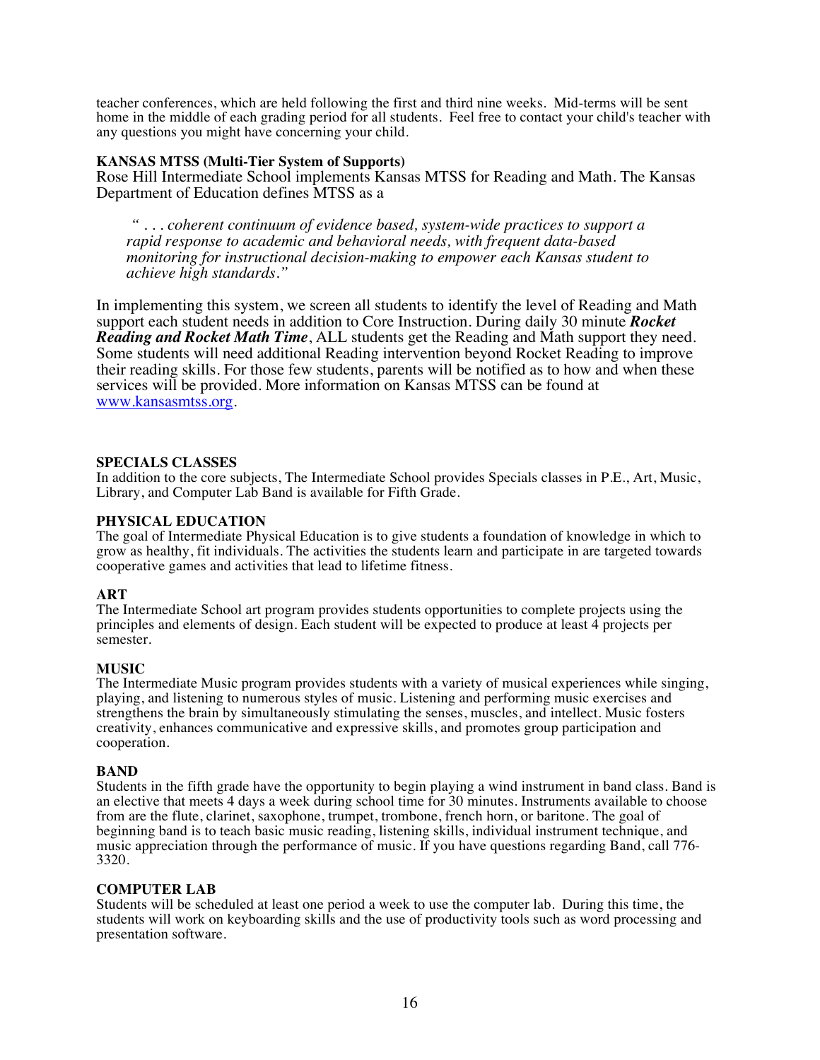teacher conferences, which are held following the first and third nine weeks. Mid-terms will be sent home in the middle of each grading period for all students. Feel free to contact your child's teacher with any questions you might have concerning your child.

#### **KANSAS MTSS (Multi-Tier System of Supports)**

Rose Hill Intermediate School implements Kansas MTSS for Reading and Math. The Kansas Department of Education defines MTSS as a

*" . . . coherent continuum of evidence based, system-wide practices to support a rapid response to academic and behavioral needs, with frequent data-based monitoring for instructional decision-making to empower each Kansas student to achieve high standards."*

In implementing this system, we screen all students to identify the level of Reading and Math support each student needs in addition to Core Instruction. During daily 30 minute *Rocket Reading and Rocket Math Time*, ALL students get the Reading and Math support they need. Some students will need additional Reading intervention beyond Rocket Reading to improve their reading skills. For those few students, parents will be notified as to how and when these services will be provided. More information on Kansas MTSS can be found at www.kansasmtss.org.

#### **SPECIALS CLASSES**

In addition to the core subjects, The Intermediate School provides Specials classes in P.E., Art, Music, Library, and Computer Lab Band is available for Fifth Grade.

#### **PHYSICAL EDUCATION**

The goal of Intermediate Physical Education is to give students a foundation of knowledge in which to grow as healthy, fit individuals. The activities the students learn and participate in are targeted towards cooperative games and activities that lead to lifetime fitness.

#### **ART**

The Intermediate School art program provides students opportunities to complete projects using the principles and elements of design. Each student will be expected to produce at least 4 projects per semester.

#### **MUSIC**

The Intermediate Music program provides students with a variety of musical experiences while singing, playing, and listening to numerous styles of music. Listening and performing music exercises and strengthens the brain by simultaneously stimulating the senses, muscles, and intellect. Music fosters creativity, enhances communicative and expressive skills, and promotes group participation and cooperation.

#### **BAND**

Students in the fifth grade have the opportunity to begin playing a wind instrument in band class. Band is an elective that meets 4 days a week during school time for 30 minutes. Instruments available to choose from are the flute, clarinet, saxophone, trumpet, trombone, french horn, or baritone. The goal of beginning band is to teach basic music reading, listening skills, individual instrument technique, and music appreciation through the performance of music. If you have questions regarding Band, call 776- 3320.

#### **COMPUTER LAB**

Students will be scheduled at least one period a week to use the computer lab. During this time, the students will work on keyboarding skills and the use of productivity tools such as word processing and presentation software.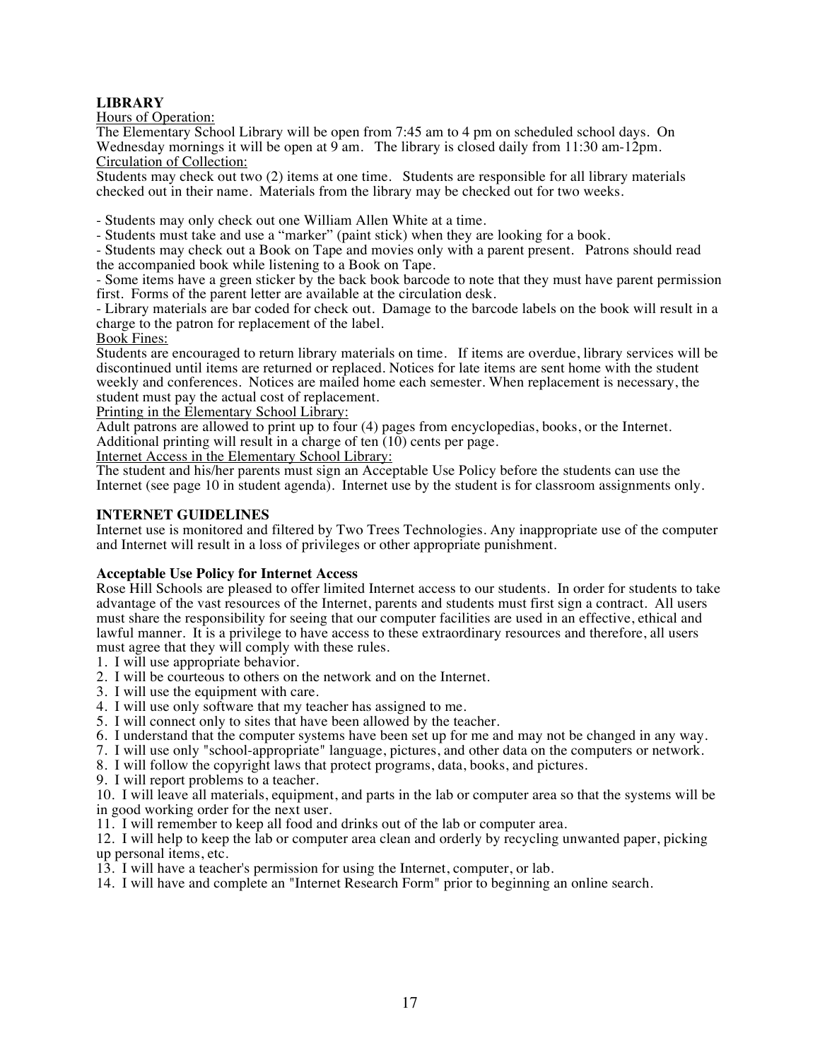#### **LIBRARY**

Hours of Operation:

The Elementary School Library will be open from 7:45 am to 4 pm on scheduled school days. On Wednesday mornings it will be open at  $9$  am. The library is closed daily from 11:30 am-12pm. Circulation of Collection:

Students may check out two (2) items at one time. Students are responsible for all library materials checked out in their name. Materials from the library may be checked out for two weeks.

- Students may only check out one William Allen White at a time.

- Students must take and use a "marker" (paint stick) when they are looking for a book.

- Students may check out a Book on Tape and movies only with a parent present. Patrons should read the accompanied book while listening to a Book on Tape.

- Some items have a green sticker by the back book barcode to note that they must have parent permission first. Forms of the parent letter are available at the circulation desk.

- Library materials are bar coded for check out. Damage to the barcode labels on the book will result in a charge to the patron for replacement of the label.

Book Fines:

Students are encouraged to return library materials on time. If items are overdue, library services will be discontinued until items are returned or replaced. Notices for late items are sent home with the student weekly and conferences. Notices are mailed home each semester. When replacement is necessary, the student must pay the actual cost of replacement.

Printing in the Elementary School Library:

Adult patrons are allowed to print up to four (4) pages from encyclopedias, books, or the Internet. Additional printing will result in a charge of ten  $(10)$  cents per page.

Internet Access in the Elementary School Library:

The student and his/her parents must sign an Acceptable Use Policy before the students can use the Internet (see page 10 in student agenda). Internet use by the student is for classroom assignments only.

#### **INTERNET GUIDELINES**

Internet use is monitored and filtered by Two Trees Technologies. Any inappropriate use of the computer and Internet will result in a loss of privileges or other appropriate punishment.

#### **Acceptable Use Policy for Internet Access**

Rose Hill Schools are pleased to offer limited Internet access to our students. In order for students to take advantage of the vast resources of the Internet, parents and students must first sign a contract. All users must share the responsibility for seeing that our computer facilities are used in an effective, ethical and lawful manner. It is a privilege to have access to these extraordinary resources and therefore, all users must agree that they will comply with these rules.

1. I will use appropriate behavior.

- 2. I will be courteous to others on the network and on the Internet.
- 3. I will use the equipment with care.
- 4. I will use only software that my teacher has assigned to me.
- 5. I will connect only to sites that have been allowed by the teacher.
- 6. I understand that the computer systems have been set up for me and may not be changed in any way.
- 7. I will use only "school-appropriate" language, pictures, and other data on the computers or network.
- 8. I will follow the copyright laws that protect programs, data, books, and pictures.

9. I will report problems to a teacher.

10. I will leave all materials, equipment, and parts in the lab or computer area so that the systems will be in good working order for the next user.

11. I will remember to keep all food and drinks out of the lab or computer area.

12. I will help to keep the lab or computer area clean and orderly by recycling unwanted paper, picking up personal items, etc.

13. I will have a teacher's permission for using the Internet, computer, or lab.

14. I will have and complete an "Internet Research Form" prior to beginning an online search.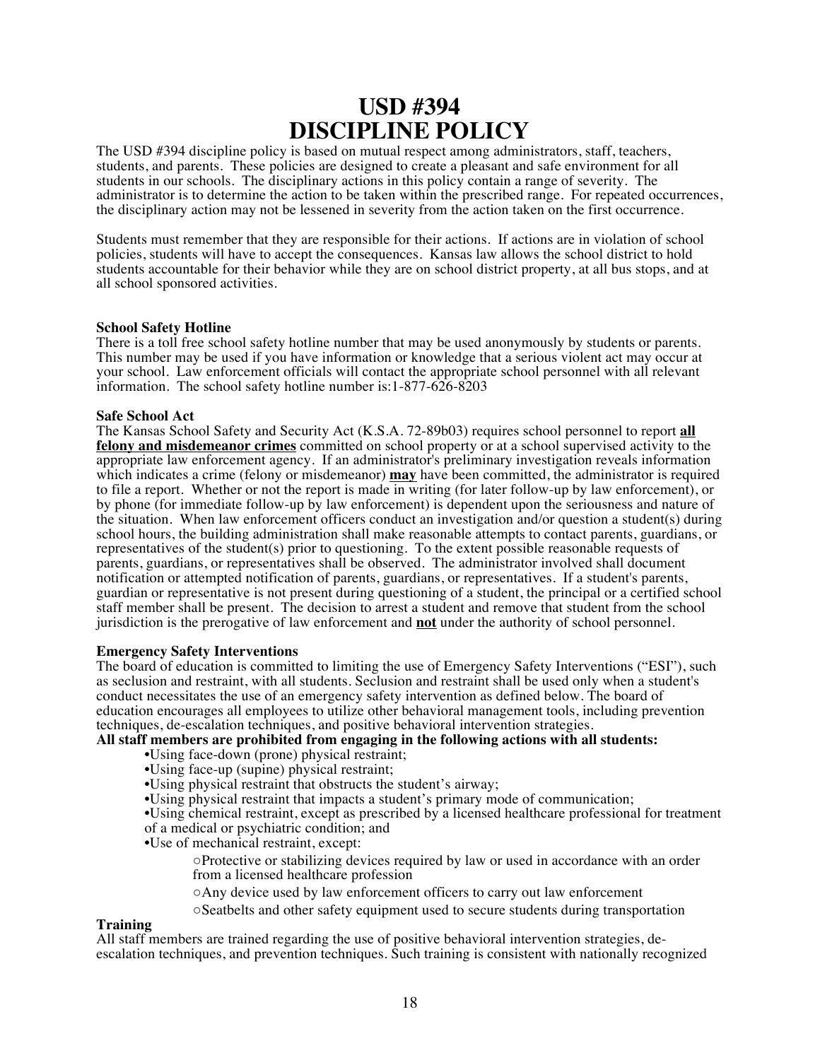## **USD #394 DISCIPLINE POLICY**

The USD #394 discipline policy is based on mutual respect among administrators, staff, teachers, students, and parents. These policies are designed to create a pleasant and safe environment for all students in our schools. The disciplinary actions in this policy contain a range of severity. The administrator is to determine the action to be taken within the prescribed range. For repeated occurrences, the disciplinary action may not be lessened in severity from the action taken on the first occurrence.

Students must remember that they are responsible for their actions. If actions are in violation of school policies, students will have to accept the consequences. Kansas law allows the school district to hold students accountable for their behavior while they are on school district property, at all bus stops, and at all school sponsored activities.

#### **School Safety Hotline**

There is a toll free school safety hotline number that may be used anonymously by students or parents. This number may be used if you have information or knowledge that a serious violent act may occur at your school. Law enforcement officials will contact the appropriate school personnel with all relevant information. The school safety hotline number is:1-877-626-8203

#### **Safe School Act**

The Kansas School Safety and Security Act (K.S.A. 72-89b03) requires school personnel to report **all felony and misdemeanor crimes** committed on school property or at a school supervised activity to the appropriate law enforcement agency. If an administrator's preliminary investigation reveals information which indicates a crime (felony or misdemeanor) **may** have been committed, the administrator is required to file a report. Whether or not the report is made in writing (for later follow-up by law enforcement), or by phone (for immediate follow-up by law enforcement) is dependent upon the seriousness and nature of the situation. When law enforcement officers conduct an investigation and/or question a student(s) during school hours, the building administration shall make reasonable attempts to contact parents, guardians, or representatives of the student(s) prior to questioning. To the extent possible reasonable requests of parents, guardians, or representatives shall be observed. The administrator involved shall document notification or attempted notification of parents, guardians, or representatives. If a student's parents, guardian or representative is not present during questioning of a student, the principal or a certified school staff member shall be present. The decision to arrest a student and remove that student from the school jurisdiction is the prerogative of law enforcement and **not** under the authority of school personnel.

#### **Emergency Safety Interventions**

The board of education is committed to limiting the use of Emergency Safety Interventions ("ESI"), such as seclusion and restraint, with all students. Seclusion and restraint shall be used only when a student's conduct necessitates the use of an emergency safety intervention as defined below. The board of education encourages all employees to utilize other behavioral management tools, including prevention techniques, de-escalation techniques, and positive behavioral intervention strategies.

#### **All staff members are prohibited from engaging in the following actions with all students:**

- •Using face-down (prone) physical restraint;
- •Using face-up (supine) physical restraint;
- •Using physical restraint that obstructs the student's airway;
- •Using physical restraint that impacts a student's primary mode of communication;
- •Using chemical restraint, except as prescribed by a licensed healthcare professional for treatment of a medical or psychiatric condition; and
- •Use of mechanical restraint, except:

○Protective or stabilizing devices required by law or used in accordance with an order from a licensed healthcare profession

○Any device used by law enforcement officers to carry out law enforcement

○Seatbelts and other safety equipment used to secure students during transportation

#### **Training**

All staff members are trained regarding the use of positive behavioral intervention strategies, deescalation techniques, and prevention techniques. Such training is consistent with nationally recognized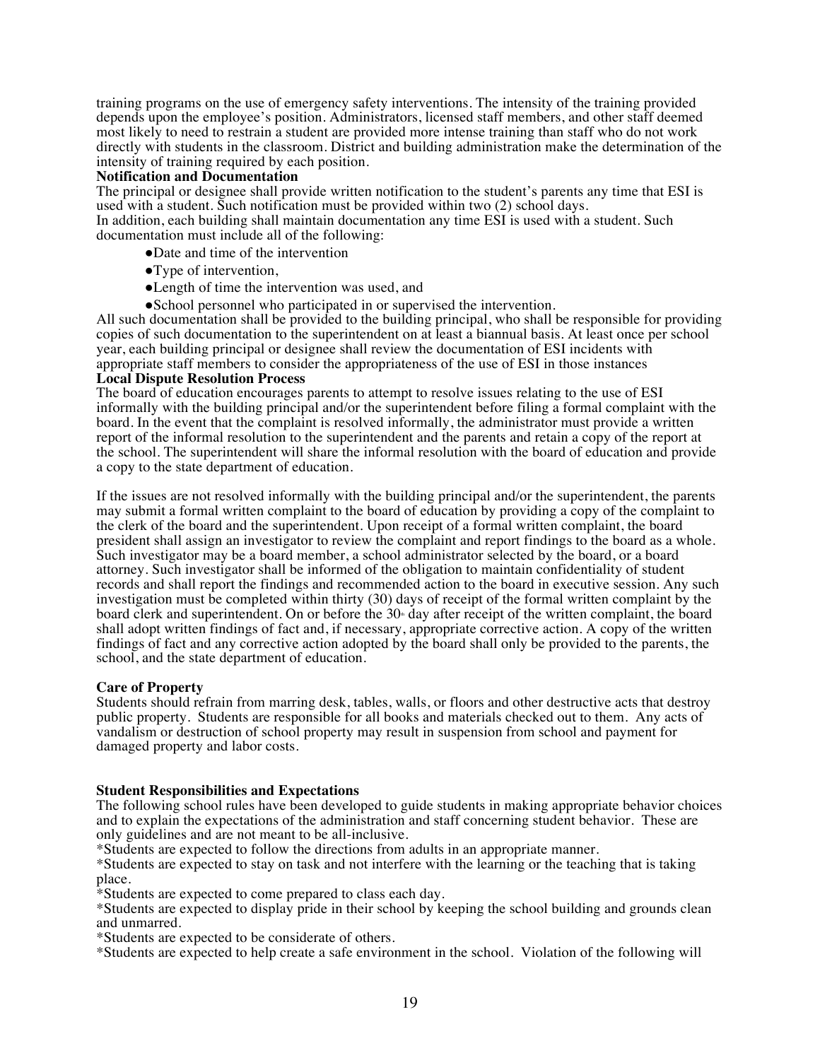training programs on the use of emergency safety interventions. The intensity of the training provided depends upon the employee's position. Administrators, licensed staff members, and other staff deemed most likely to need to restrain a student are provided more intense training than staff who do not work directly with students in the classroom. District and building administration make the determination of the intensity of training required by each position.

#### **Notification and Documentation**

The principal or designee shall provide written notification to the student's parents any time that ESI is used with a student. Such notification must be provided within two (2) school days. In addition, each building shall maintain documentation any time ESI is used with a student. Such documentation must include all of the following:

- ●Date and time of the intervention
- ●Type of intervention,
- ●Length of time the intervention was used, and
- ●School personnel who participated in or supervised the intervention.

All such documentation shall be provided to the building principal, who shall be responsible for providing copies of such documentation to the superintendent on at least a biannual basis. At least once per school year, each building principal or designee shall review the documentation of ESI incidents with appropriate staff members to consider the appropriateness of the use of ESI in those instances **Local Dispute Resolution Process**

The board of education encourages parents to attempt to resolve issues relating to the use of ESI informally with the building principal and/or the superintendent before filing a formal complaint with the board. In the event that the complaint is resolved informally, the administrator must provide a written report of the informal resolution to the superintendent and the parents and retain a copy of the report at the school. The superintendent will share the informal resolution with the board of education and provide a copy to the state department of education.

If the issues are not resolved informally with the building principal and/or the superintendent, the parents may submit a formal written complaint to the board of education by providing a copy of the complaint to the clerk of the board and the superintendent. Upon receipt of a formal written complaint, the board president shall assign an investigator to review the complaint and report findings to the board as a whole. Such investigator may be a board member, a school administrator selected by the board, or a board attorney. Such investigator shall be informed of the obligation to maintain confidentiality of student records and shall report the findings and recommended action to the board in executive session. Any such investigation must be completed within thirty (30) days of receipt of the formal written complaint by the board clerk and superintendent. On or before the 30<sup>th</sup> day after receipt of the written complaint, the board shall adopt written findings of fact and, if necessary, appropriate corrective action. A copy of the written findings of fact and any corrective action adopted by the board shall only be provided to the parents, the school, and the state department of education.

#### **Care of Property**

Students should refrain from marring desk, tables, walls, or floors and other destructive acts that destroy public property. Students are responsible for all books and materials checked out to them. Any acts of vandalism or destruction of school property may result in suspension from school and payment for damaged property and labor costs.

#### **Student Responsibilities and Expectations**

The following school rules have been developed to guide students in making appropriate behavior choices and to explain the expectations of the administration and staff concerning student behavior. These are only guidelines and are not meant to be all-inclusive.

\*Students are expected to follow the directions from adults in an appropriate manner.

\*Students are expected to stay on task and not interfere with the learning or the teaching that is taking place.

\*Students are expected to come prepared to class each day.

\*Students are expected to display pride in their school by keeping the school building and grounds clean and unmarred.

\*Students are expected to be considerate of others.

\*Students are expected to help create a safe environment in the school. Violation of the following will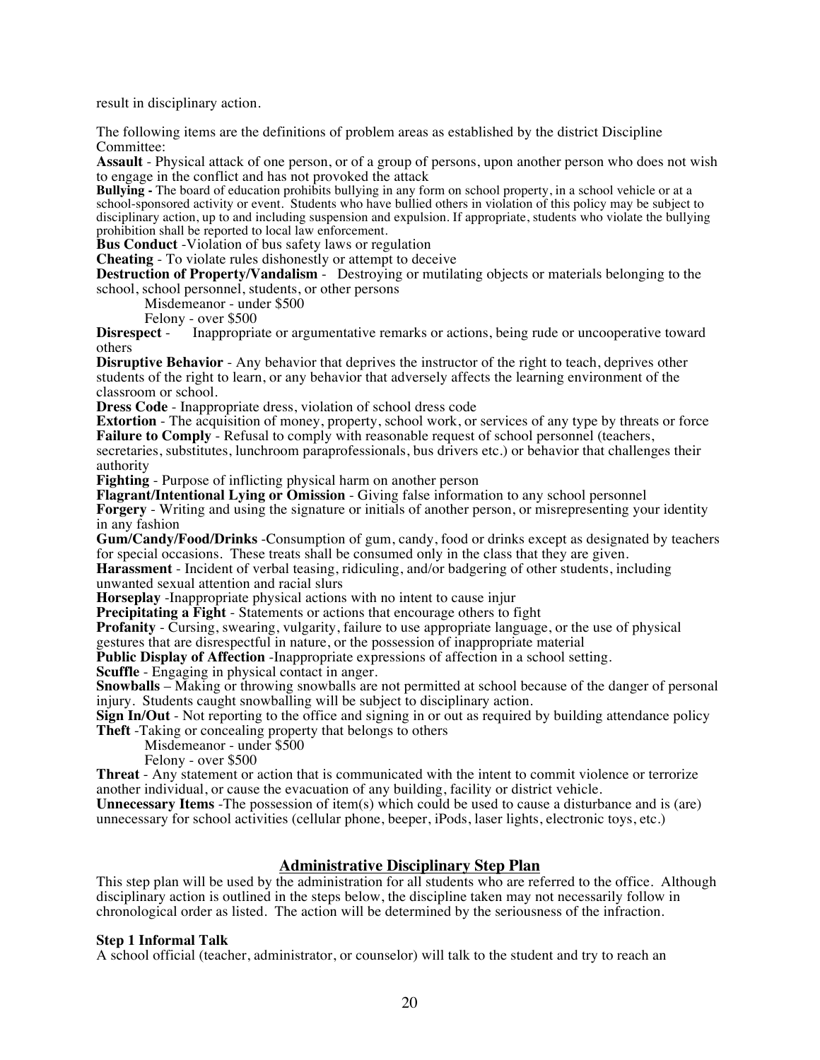result in disciplinary action.

The following items are the definitions of problem areas as established by the district Discipline Committee:

**Assault** - Physical attack of one person, or of a group of persons, upon another person who does not wish to engage in the conflict and has not provoked the attack

**Bullying -** The board of education prohibits bullying in any form on school property, in a school vehicle or at a school-sponsored activity or event. Students who have bullied others in violation of this policy may be subject to disciplinary action, up to and including suspension and expulsion. If appropriate, students who violate the bullying prohibition shall be reported to local law enforcement.

**Bus Conduct** -Violation of bus safety laws or regulation

**Cheating** - To violate rules dishonestly or attempt to deceive

**Destruction of Property/Vandalism** - Destroying or mutilating objects or materials belonging to the school, school personnel, students, or other persons

Misdemeanor - under \$500

Felony - over \$500<br>Disrespect - Inappropria Inappropriate or argumentative remarks or actions, being rude or uncooperative toward others

**Disruptive Behavior** - Any behavior that deprives the instructor of the right to teach, deprives other students of the right to learn, or any behavior that adversely affects the learning environment of the classroom or school.

**Dress Code** - Inappropriate dress, violation of school dress code

**Extortion** - The acquisition of money, property, school work, or services of any type by threats or force **Failure to Comply** - Refusal to comply with reasonable request of school personnel (teachers, secretaries, substitutes, lunchroom paraprofessionals, bus drivers etc.) or behavior that challenges their authority

**Fighting** - Purpose of inflicting physical harm on another person

**Flagrant/Intentional Lying or Omission** - Giving false information to any school personnel **Forgery** - Writing and using the signature or initials of another person, or misrepresenting your identity in any fashion

**Gum/Candy/Food/Drinks** -Consumption of gum, candy, food or drinks except as designated by teachers for special occasions. These treats shall be consumed only in the class that they are given.

**Harassment** - Incident of verbal teasing, ridiculing, and/or badgering of other students, including unwanted sexual attention and racial slurs

**Horseplay** -Inappropriate physical actions with no intent to cause injur

**Precipitating a Fight** - Statements or actions that encourage others to fight

**Profanity** - Cursing, swearing, vulgarity, failure to use appropriate language, or the use of physical gestures that are disrespectful in nature, or the possession of inappropriate material

**Public Display of Affection** -Inappropriate expressions of affection in a school setting.

**Scuffle** - Engaging in physical contact in anger.

**Snowballs** – Making or throwing snowballs are not permitted at school because of the danger of personal injury. Students caught snowballing will be subject to disciplinary action.

**Sign In/Out** - Not reporting to the office and signing in or out as required by building attendance policy **Theft** -Taking or concealing property that belongs to others

Misdemeanor - under \$500

Felony - over \$500

**Threat** - Any statement or action that is communicated with the intent to commit violence or terrorize another individual, or cause the evacuation of any building, facility or district vehicle.

**Unnecessary Items** -The possession of item(s) which could be used to cause a disturbance and is (are) unnecessary for school activities (cellular phone, beeper, iPods, laser lights, electronic toys, etc.)

#### **Administrative Disciplinary Step Plan**

This step plan will be used by the administration for all students who are referred to the office. Although disciplinary action is outlined in the steps below, the discipline taken may not necessarily follow in chronological order as listed. The action will be determined by the seriousness of the infraction.

#### **Step 1 Informal Talk**

A school official (teacher, administrator, or counselor) will talk to the student and try to reach an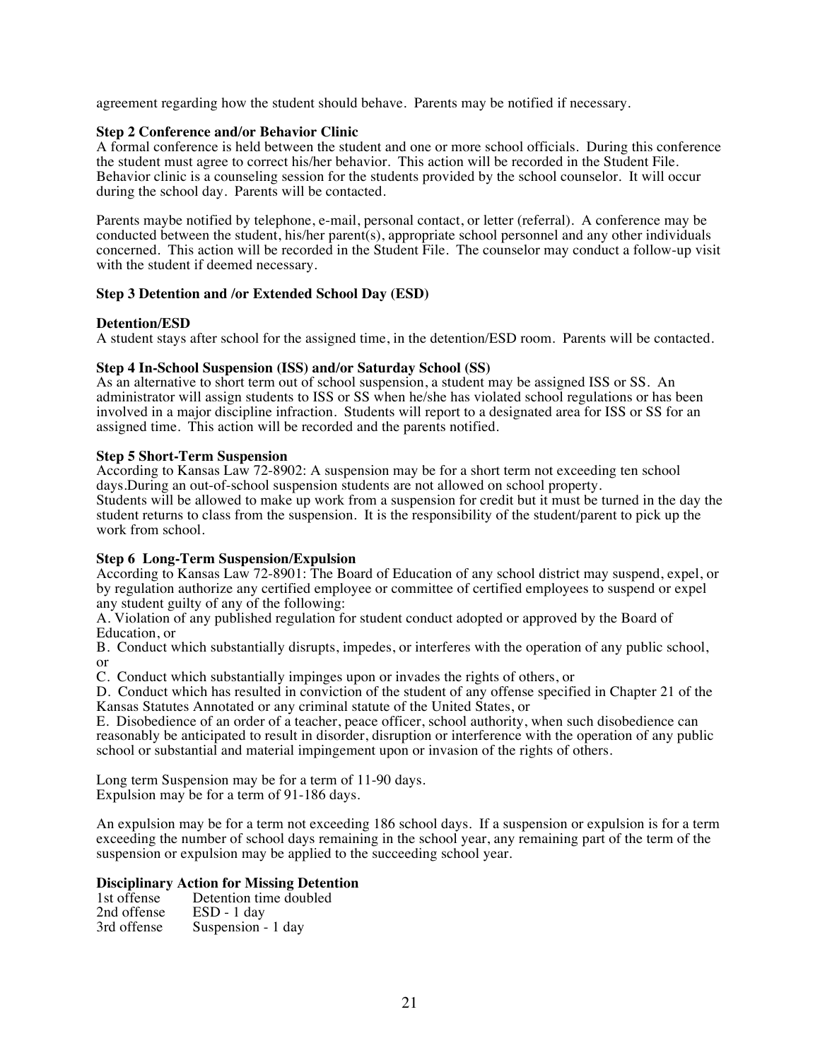agreement regarding how the student should behave. Parents may be notified if necessary.

#### **Step 2 Conference and/or Behavior Clinic**

A formal conference is held between the student and one or more school officials. During this conference the student must agree to correct his/her behavior. This action will be recorded in the Student File. Behavior clinic is a counseling session for the students provided by the school counselor. It will occur during the school day. Parents will be contacted.

Parents maybe notified by telephone, e-mail, personal contact, or letter (referral). A conference may be conducted between the student, his/her parent(s), appropriate school personnel and any other individuals concerned. This action will be recorded in the Student File. The counselor may conduct a follow-up visit with the student if deemed necessary.

#### **Step 3 Detention and /or Extended School Day (ESD)**

#### **Detention/ESD**

A student stays after school for the assigned time, in the detention/ESD room. Parents will be contacted.

#### **Step 4 In-School Suspension (ISS) and/or Saturday School (SS)**

As an alternative to short term out of school suspension, a student may be assigned ISS or SS. An administrator will assign students to ISS or SS when he/she has violated school regulations or has been involved in a major discipline infraction. Students will report to a designated area for ISS or SS for an assigned time. This action will be recorded and the parents notified.

#### **Step 5 Short-Term Suspension**

According to Kansas Law 72-8902: A suspension may be for a short term not exceeding ten school days.During an out-of-school suspension students are not allowed on school property. Students will be allowed to make up work from a suspension for credit but it must be turned in the day the student returns to class from the suspension. It is the responsibility of the student/parent to pick up the work from school.

#### **Step 6 Long-Term Suspension/Expulsion**

According to Kansas Law 72-8901: The Board of Education of any school district may suspend, expel, or by regulation authorize any certified employee or committee of certified employees to suspend or expel any student guilty of any of the following:

A. Violation of any published regulation for student conduct adopted or approved by the Board of Education, or

B. Conduct which substantially disrupts, impedes, or interferes with the operation of any public school, or

C. Conduct which substantially impinges upon or invades the rights of others, or

D. Conduct which has resulted in conviction of the student of any offense specified in Chapter 21 of the Kansas Statutes Annotated or any criminal statute of the United States, or

E. Disobedience of an order of a teacher, peace officer, school authority, when such disobedience can reasonably be anticipated to result in disorder, disruption or interference with the operation of any public school or substantial and material impingement upon or invasion of the rights of others.

Long term Suspension may be for a term of 11-90 days. Expulsion may be for a term of 91-186 days.

An expulsion may be for a term not exceeding 186 school days. If a suspension or expulsion is for a term exceeding the number of school days remaining in the school year, any remaining part of the term of the suspension or expulsion may be applied to the succeeding school year.

#### **Disciplinary Action for Missing Detention**

| 1st offense | Detention time doubled |
|-------------|------------------------|
| 2nd offense | $ESD - 1$ day          |
| 3rd offense | Suspension - 1 day     |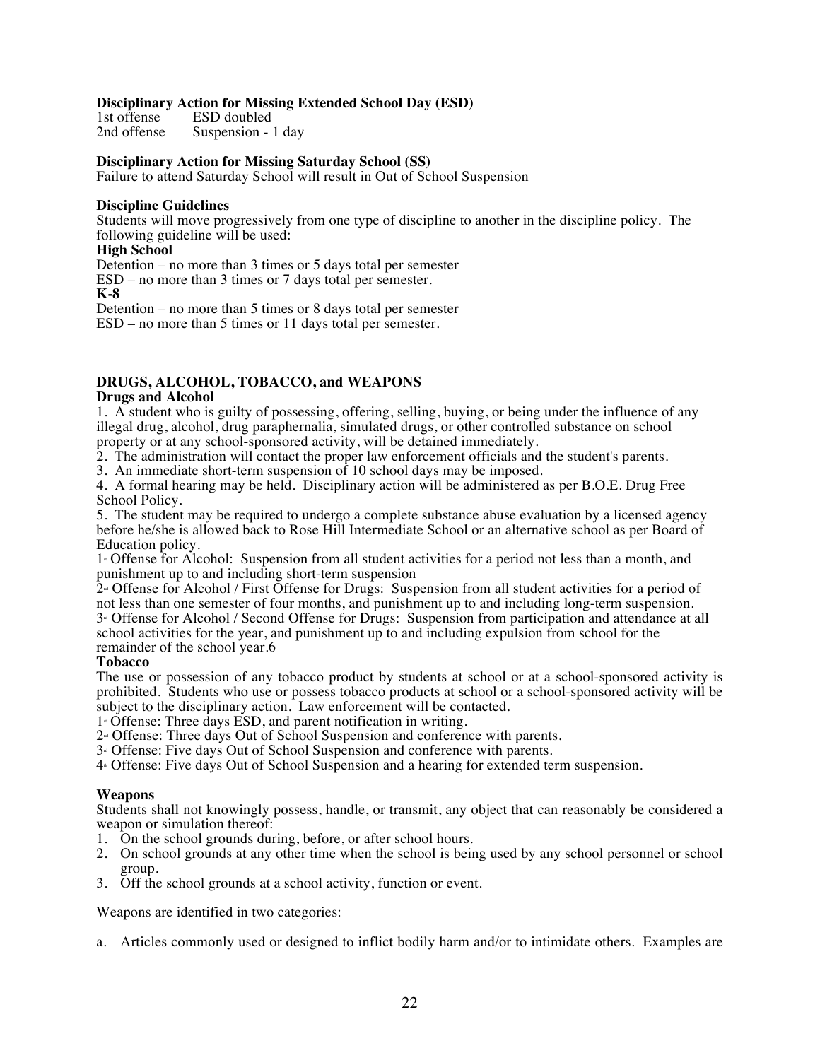## **Disciplinary Action for Missing Extended School Day (ESD)**

1st offense ESD doubled<br>2nd offense Suspension -Suspension - 1 day

#### **Disciplinary Action for Missing Saturday School (SS)**

Failure to attend Saturday School will result in Out of School Suspension

#### **Discipline Guidelines**

Students will move progressively from one type of discipline to another in the discipline policy. The following guideline will be used:

#### **High School**

Detention – no more than 3 times or 5 days total per semester ESD – no more than 3 times or 7 days total per semester.

**K-8**

Detention – no more than 5 times or 8 days total per semester ESD – no more than 5 times or 11 days total per semester.

## **DRUGS, ALCOHOL, TOBACCO, and WEAPONS**

#### **Drugs and Alcohol**

1. A student who is guilty of possessing, offering, selling, buying, or being under the influence of any illegal drug, alcohol, drug paraphernalia, simulated drugs, or other controlled substance on school property or at any school-sponsored activity, will be detained immediately.

2. The administration will contact the proper law enforcement officials and the student's parents.

3. An immediate short-term suspension of 10 school days may be imposed.

4. A formal hearing may be held. Disciplinary action will be administered as per B.O.E. Drug Free School Policy.

5. The student may be required to undergo a complete substance abuse evaluation by a licensed agency before he/she is allowed back to Rose Hill Intermediate School or an alternative school as per Board of Education policy.

1<sup> $\textdegree$ </sup> Offense for Alcohol: Suspension from all student activities for a period not less than a month, and punishment up to and including short-term suspension

 $2$ <sup>n</sup> Offense for Alcohol / First Offense for Drugs: Suspension from all student activities for a period of not less than one semester of four months, and punishment up to and including long-term suspension.  $3<sup>a</sup>$  Offense for Alcohol / Second Offense for Drugs: Suspension from participation and attendance at all school activities for the year, and punishment up to and including expulsion from school for the remainder of the school year.6

#### **Tobacco**

The use or possession of any tobacco product by students at school or at a school-sponsored activity is prohibited. Students who use or possess tobacco products at school or a school-sponsored activity will be subject to the disciplinary action. Law enforcement will be contacted.

1 Offense: Three days ESD, and parent notification in writing.

 $2<sup>nd</sup>$  Offense: Three days Out of School Suspension and conference with parents.

3<sup>*d*</sup> Offense: Five days Out of School Suspension and conference with parents.

4<sup>t</sup> Offense: Five days Out of School Suspension and a hearing for extended term suspension.

#### **Weapons**

Students shall not knowingly possess, handle, or transmit, any object that can reasonably be considered a weapon or simulation thereof:

- 1. On the school grounds during, before, or after school hours.
- 2. On school grounds at any other time when the school is being used by any school personnel or school group.
- 3. Off the school grounds at a school activity, function or event.

Weapons are identified in two categories:

a. Articles commonly used or designed to inflict bodily harm and/or to intimidate others. Examples are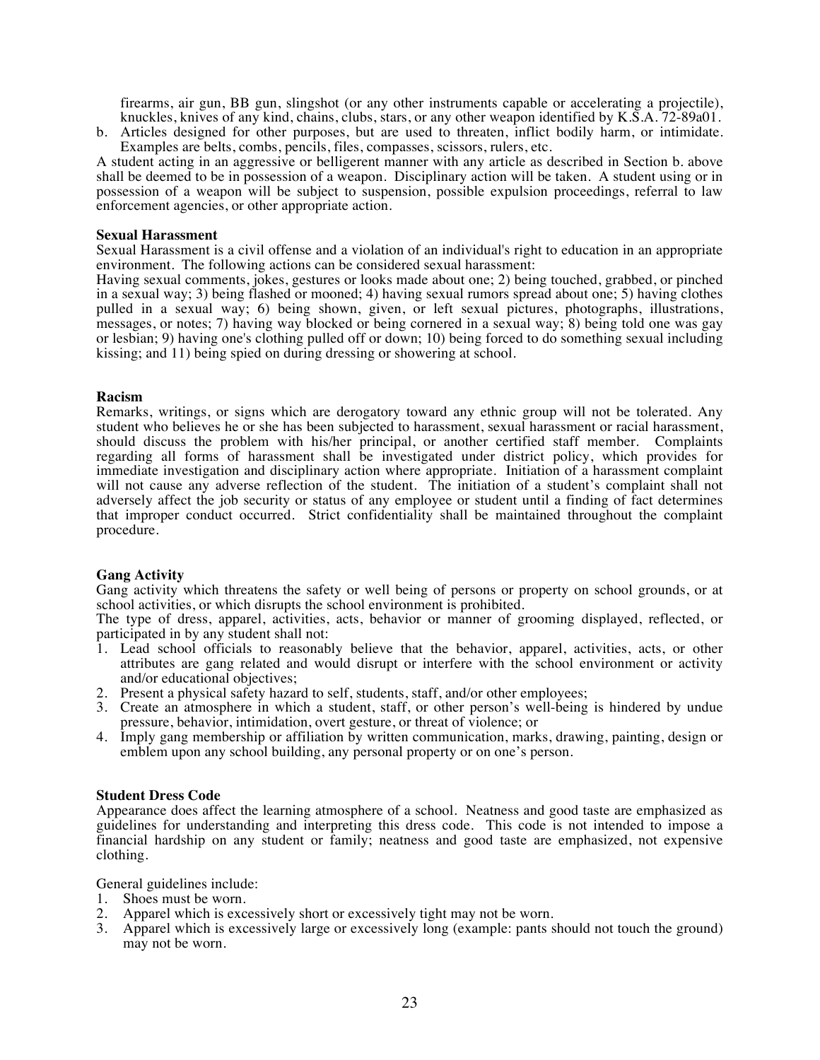firearms, air gun, BB gun, slingshot (or any other instruments capable or accelerating a projectile), knuckles, knives of any kind, chains, clubs, stars, or any other weapon identified by K.S.A. 72-89a01.

b. Articles designed for other purposes, but are used to threaten, inflict bodily harm, or intimidate. Examples are belts, combs, pencils, files, compasses, scissors, rulers, etc.

A student acting in an aggressive or belligerent manner with any article as described in Section b. above shall be deemed to be in possession of a weapon. Disciplinary action will be taken. A student using or in possession of a weapon will be subject to suspension, possible expulsion proceedings, referral to law enforcement agencies, or other appropriate action.

#### **Sexual Harassment**

Sexual Harassment is a civil offense and a violation of an individual's right to education in an appropriate environment. The following actions can be considered sexual harassment:

Having sexual comments, jokes, gestures or looks made about one; 2) being touched, grabbed, or pinched in a sexual way; 3) being flashed or mooned; 4) having sexual rumors spread about one; 5) having clothes pulled in a sexual way; 6) being shown, given, or left sexual pictures, photographs, illustrations, messages, or notes; 7) having way blocked or being cornered in a sexual way; 8) being told one was gay or lesbian; 9) having one's clothing pulled off or down; 10) being forced to do something sexual including kissing; and 11) being spied on during dressing or showering at school.

#### **Racism**

Remarks, writings, or signs which are derogatory toward any ethnic group will not be tolerated. Any student who believes he or she has been subjected to harassment, sexual harassment or racial harassment, should discuss the problem with his/her principal, or another certified staff member. Complaints regarding all forms of harassment shall be investigated under district policy, which provides for immediate investigation and disciplinary action where appropriate. Initiation of a harassment complaint will not cause any adverse reflection of the student. The initiation of a student's complaint shall not adversely affect the job security or status of any employee or student until a finding of fact determines that improper conduct occurred. Strict confidentiality shall be maintained throughout the complaint procedure.

#### **Gang Activity**

Gang activity which threatens the safety or well being of persons or property on school grounds, or at school activities, or which disrupts the school environment is prohibited.

The type of dress, apparel, activities, acts, behavior or manner of grooming displayed, reflected, or participated in by any student shall not:

- 1. Lead school officials to reasonably believe that the behavior, apparel, activities, acts, or other attributes are gang related and would disrupt or interfere with the school environment or activity and/or educational objectives;
- 2. Present a physical safety hazard to self, students, staff, and/or other employees;
- 3. Create an atmosphere in which a student, staff, or other person's well-being is hindered by undue pressure, behavior, intimidation, overt gesture, or threat of violence; or
- 4. Imply gang membership or affiliation by written communication, marks, drawing, painting, design or emblem upon any school building, any personal property or on one's person.

#### **Student Dress Code**

Appearance does affect the learning atmosphere of a school. Neatness and good taste are emphasized as guidelines for understanding and interpreting this dress code. This code is not intended to impose a financial hardship on any student or family; neatness and good taste are emphasized, not expensive clothing.

General guidelines include:

- 1. Shoes must be worn.
- 2. Apparel which is excessively short or excessively tight may not be worn.
- 3. Apparel which is excessively large or excessively long (example: pants should not touch the ground) may not be worn.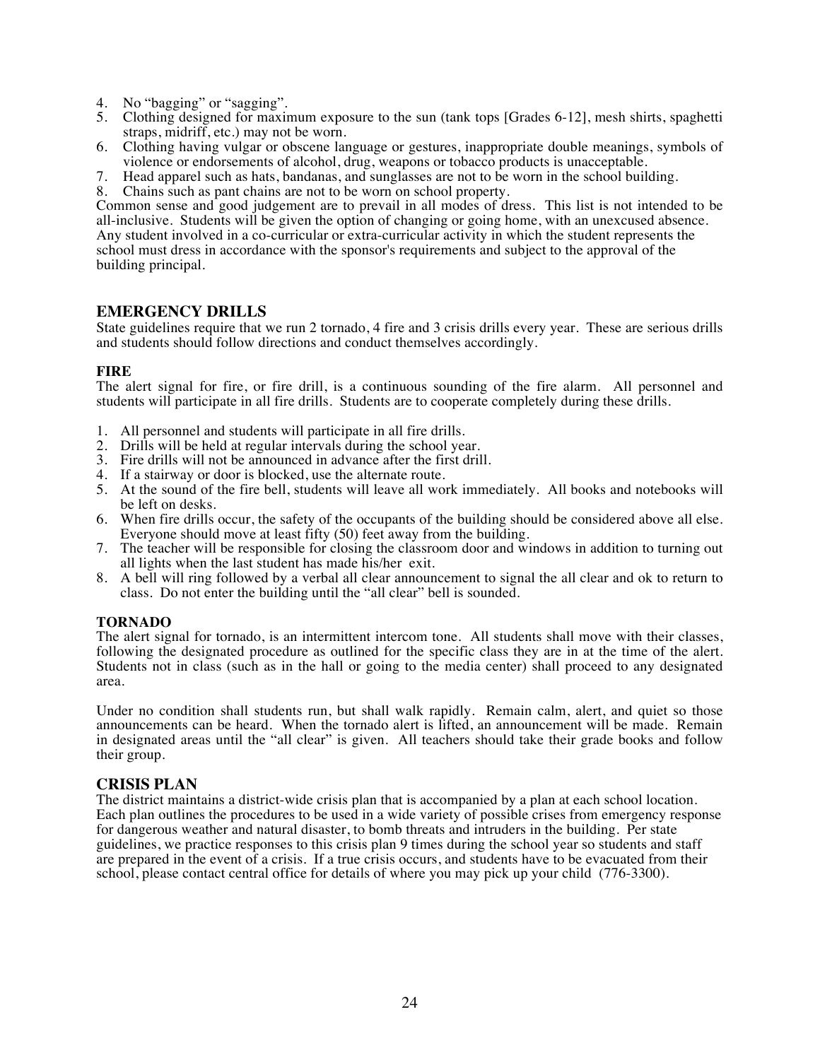- 4. No "bagging" or "sagging".
- 5. Clothing designed for maximum exposure to the sun (tank tops [Grades 6-12], mesh shirts, spaghetti straps, midriff, etc.) may not be worn.
- 6. Clothing having vulgar or obscene language or gestures, inappropriate double meanings, symbols of violence or endorsements of alcohol, drug, weapons or tobacco products is unacceptable.
- 7. Head apparel such as hats, bandanas, and sunglasses are not to be worn in the school building.
- Chains such as pant chains are not to be worn on school property.

Common sense and good judgement are to prevail in all modes of dress. This list is not intended to be all-inclusive. Students will be given the option of changing or going home, with an unexcused absence. Any student involved in a co-curricular or extra-curricular activity in which the student represents the school must dress in accordance with the sponsor's requirements and subject to the approval of the building principal.

#### **EMERGENCY DRILLS**

State guidelines require that we run 2 tornado, 4 fire and 3 crisis drills every year. These are serious drills and students should follow directions and conduct themselves accordingly.

#### **FIRE**

The alert signal for fire, or fire drill, is a continuous sounding of the fire alarm. All personnel and students will participate in all fire drills. Students are to cooperate completely during these drills.

- 1. All personnel and students will participate in all fire drills.
- 2. Drills will be held at regular intervals during the school year.
- 3. Fire drills will not be announced in advance after the first drill.
- 4. If a stairway or door is blocked, use the alternate route.
- 5. At the sound of the fire bell, students will leave all work immediately. All books and notebooks will be left on desks.
- 6. When fire drills occur, the safety of the occupants of the building should be considered above all else. Everyone should move at least fifty (50) feet away from the building.
- 7. The teacher will be responsible for closing the classroom door and windows in addition to turning out all lights when the last student has made his/her exit.
- 8. A bell will ring followed by a verbal all clear announcement to signal the all clear and ok to return to class. Do not enter the building until the "all clear" bell is sounded.

#### **TORNADO**

The alert signal for tornado, is an intermittent intercom tone. All students shall move with their classes, following the designated procedure as outlined for the specific class they are in at the time of the alert. Students not in class (such as in the hall or going to the media center) shall proceed to any designated area.

Under no condition shall students run, but shall walk rapidly. Remain calm, alert, and quiet so those announcements can be heard. When the tornado alert is lifted, an announcement will be made. Remain in designated areas until the "all clear" is given. All teachers should take their grade books and follow their group.

#### **CRISIS PLAN**

The district maintains a district-wide crisis plan that is accompanied by a plan at each school location. Each plan outlines the procedures to be used in a wide variety of possible crises from emergency response for dangerous weather and natural disaster, to bomb threats and intruders in the building. Per state guidelines, we practice responses to this crisis plan 9 times during the school year so students and staff are prepared in the event of a crisis. If a true crisis occurs, and students have to be evacuated from their school, please contact central office for details of where you may pick up your child (776-3300).